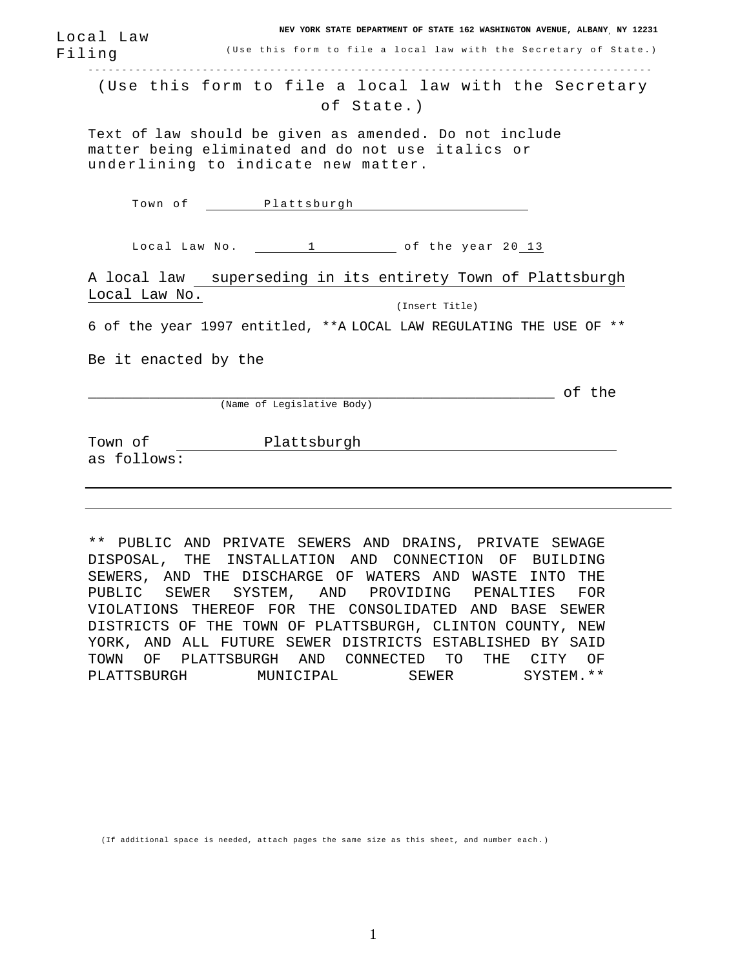| Local Law<br>Filing  | NEV YORK STATE DEPARTMENT OF STATE 162 WASHINGTON AVENUE, ALBANY NY 12231<br>(Use this form to file a local law with the Secretary of State.)      |
|----------------------|----------------------------------------------------------------------------------------------------------------------------------------------------|
|                      | (Use this form to file a local law with the Secretary<br>of State.)                                                                                |
|                      | Text of law should be given as amended. Do not include<br>matter being eliminated and do not use italics or<br>underlining to indicate new matter. |
|                      | Town of Plattsburgh Plattsburgh                                                                                                                    |
|                      | Local Law No. 1 of the year 20 13                                                                                                                  |
|                      | A local law superseding in its entirety Town of Plattsburgh                                                                                        |
| Local Law No.        | (Insert Title)                                                                                                                                     |
|                      | 6 of the year 1997 entitled, ** A LOCAL LAW REGULATING THE USE OF **                                                                               |
| Be it enacted by the |                                                                                                                                                    |
|                      |                                                                                                                                                    |
|                      | (Name of Legislative Body)                                                                                                                         |
|                      | Town of Plattsburgh                                                                                                                                |
| as follows:          |                                                                                                                                                    |
|                      |                                                                                                                                                    |
|                      |                                                                                                                                                    |
|                      |                                                                                                                                                    |
| דרח דמרים            | ** PUBLIC AND PRIVATE SEWERS AND DRAINS, PRIVATE SEWAGE<br>THE TNETALL ATTON AND CONNECTION OF PILLIDING                                           |

DISPOSAL, THE INSTALLATION AND CONNECTION OF BUILDING SEWERS, AND THE DISCHARGE OF WATERS AND WASTE INTO THE PUBLIC SEWER SYSTEM, AND PROVIDING PENALTIES FOR VIOLATIONS THEREOF FOR THE CONSOLIDATED AND BASE SEWER DISTRICTS OF THE TOWN OF PLATTSBURGH, CLINTON COUNTY, NEW YORK, AND ALL FUTURE SEWER DISTRICTS ESTABLISHED BY SAID TOWN OF PLATTSBURGH AND CONNECTED TO THE CITY OF PLATTSBURGH MUNICIPAL SEWER SYSTEM.\*\*

(If additional space is needed, attach pages the same size as this sheet, and number each.)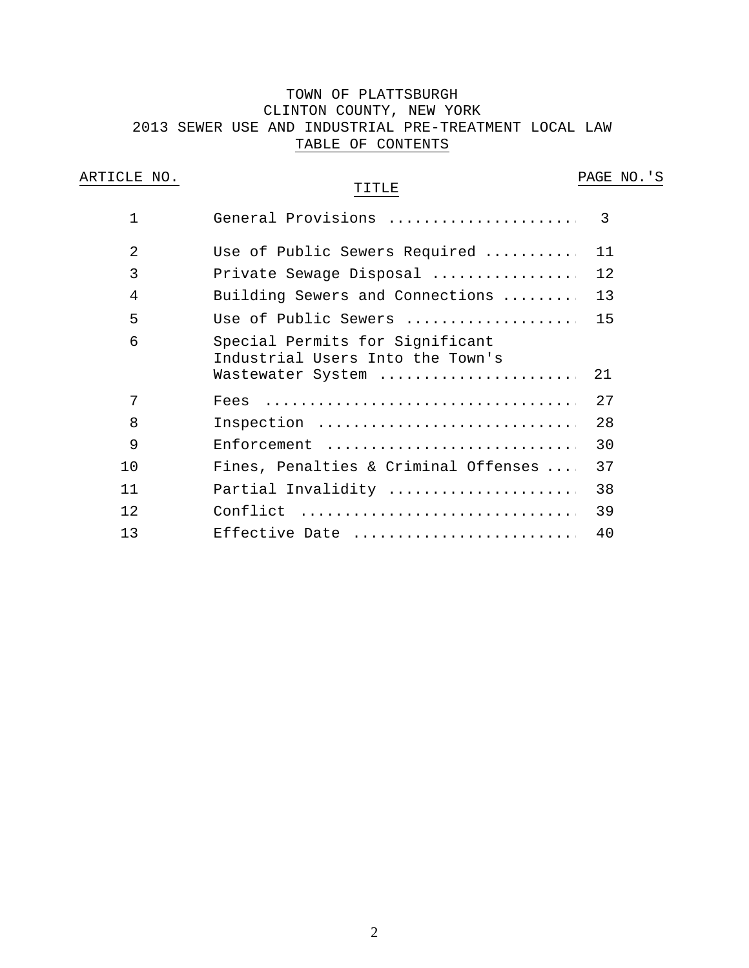# TOWN OF PLATTSBURGH CLINTON COUNTY, NEW YORK 2013 SEWER USE AND INDUSTRIAL PRE-TREATMENT LOCAL LAW TABLE OF CONTENTS

# ARTICLE NO.

### TITLE

PAGE NO.'S

| 1              | General Provisions                                                                       | 3   |
|----------------|------------------------------------------------------------------------------------------|-----|
| $\mathfrak{D}$ | Use of Public Sewers Required                                                            | 11  |
| 3              | Private Sewage Disposal                                                                  | 12. |
| $\overline{4}$ | Building Sewers and Connections                                                          | 13  |
| 5              | Use of Public Sewers                                                                     | 15  |
| 6              | Special Permits for Significant<br>Industrial Users Into the Town's<br>Wastewater System | 21  |
|                |                                                                                          |     |
| 7              |                                                                                          | 27  |
| $\mathsf{R}$   | Inspection                                                                               | 2.8 |
| 9              | Enforcement                                                                              | 30  |
| 10             | Fines, Penalties & Criminal Offenses                                                     | 37  |
| 11             | Partial Invalidity                                                                       | 38  |
| 12             | Conflict                                                                                 | 39  |
| 13             | Effective Date                                                                           | 40  |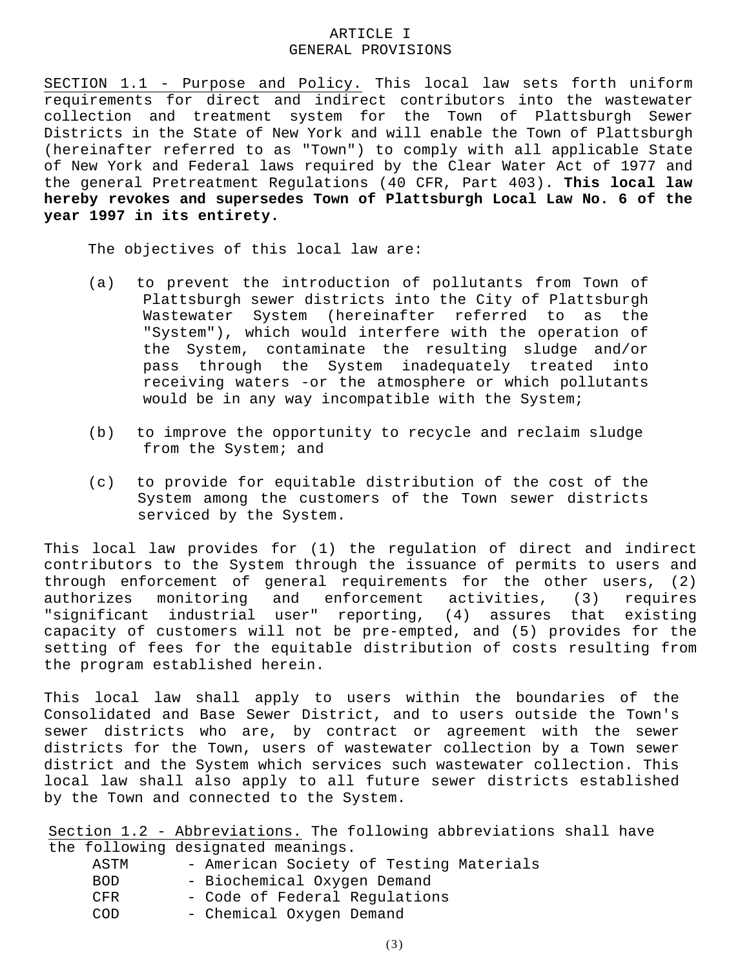## ARTICLE I GENERAL PROVISIONS

SECTION 1.1 - Purpose and Policy. This local law sets forth uniform requirements for direct and indirect contributors into the wastewater collection and treatment system for the Town of Plattsburgh Sewer Districts in the State of New York and will enable the Town of Plattsburgh (hereinafter referred to as "Town") to comply with all applicable State of New York and Federal laws required by the Clear Water Act of 1977 and the general Pretreatment Regulations (40 CFR, Part 403). **This local law hereby revokes and supersedes Town of Plattsburgh Local Law No. 6 of the year 1997 in its entirety.**

The objectives of this local law are:

- (a) to prevent the introduction of pollutants from Town of Plattsburgh sewer districts into the City of Plattsburgh Wastewater System (hereinafter referred to as the "System"), which would interfere with the operation of the System, contaminate the resulting sludge and/or pass through the System inadequately treated into receiving waters -or the atmosphere or which pollutants would be in any way incompatible with the System;
- (b) to improve the opportunity to recycle and reclaim sludge from the System; and
- (c) to provide for equitable distribution of the cost of the System among the customers of the Town sewer districts serviced by the System.

This local law provides for (1) the regulation of direct and indirect contributors to the System through the issuance of permits to users and through enforcement of general requirements for the other users, (2) authorizes monitoring and enforcement activities, (3) requires "significant industrial user" reporting, (4) assures that existing capacity of customers will not be pre-empted, and (5) provides for the setting of fees for the equitable distribution of costs resulting from the program established herein.

This local law shall apply to users within the boundaries of the Consolidated and Base Sewer District, and to users outside the Town's sewer districts who are, by contract or agreement with the sewer districts for the Town, users of wastewater collection by a Town sewer district and the System which services such wastewater collection. This local law shall also apply to all future sewer districts established by the Town and connected to the System.

Section 1.2 - Abbreviations. The following abbreviations shall have the following designated meanings.

| ASTM             | - American Society of Testing Materials |
|------------------|-----------------------------------------|
| BOD.             | - Biochemical Oxygen Demand             |
| CFR <sup>1</sup> | - Code of Federal Requiations           |
| COD              | - Chemical Oxygen Demand                |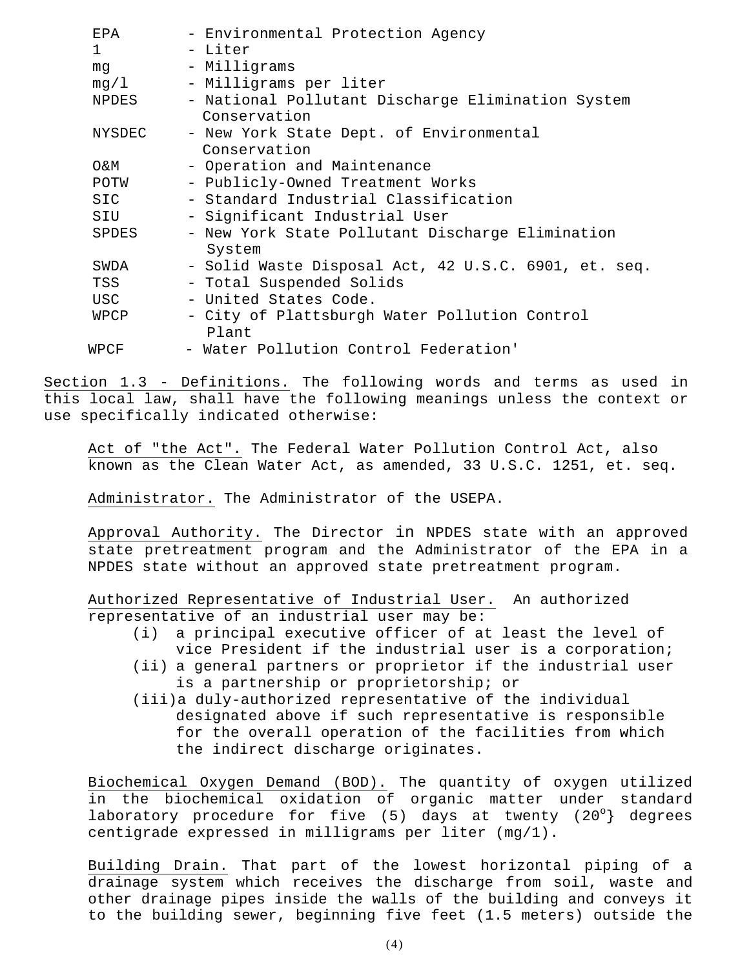| EPA          | - Environmental Protection Agency                          |
|--------------|------------------------------------------------------------|
| $\mathbf{1}$ | - Liter                                                    |
| mq           | - Milligrams                                               |
| mg/l         | - Milligrams per liter                                     |
| NPDES        | - National Pollutant Discharge Elimination System          |
|              | Conservation                                               |
| NYSDEC       | - New York State Dept. of Environmental                    |
|              | Conservation                                               |
| O&M          | - Operation and Maintenance                                |
| POTW         | - Publicly-Owned Treatment Works                           |
| SIC          | - Standard Industrial Classification                       |
| SIU          | - Significant Industrial User                              |
| <b>SPDES</b> | - New York State Pollutant Discharge Elimination<br>System |
| SWDA         | - Solid Waste Disposal Act, 42 U.S.C. 6901, et. seq.       |
| TSS          | - Total Suspended Solids                                   |
| USC          | - United States Code.                                      |
| WPCP         | - City of Plattsburgh Water Pollution Control<br>Plant     |
| WPCF         | - Water Pollution Control Federation'                      |

Section 1.3 - Definitions. The following words and terms as used in this local law, shall have the following meanings unless the context or use specifically indicated otherwise:

Act of "the Act". The Federal Water Pollution Control Act, also known as the Clean Water Act, as amended, 33 U.S.C. 1251, et. seq.

Administrator. The Administrator of the USEPA.

Approval Authority. The Director in NPDES state with an approved state pretreatment program and the Administrator of the EPA in a NPDES state without an approved state pretreatment program.

Authorized Representative of Industrial User. An authorized representative of an industrial user may be:

- (i) a principal executive officer of at least the level of vice President if the industrial user is a corporation;
- (ii) a general partners or proprietor if the industrial user is a partnership or proprietorship; or
- (iii)a duly-authorized representative of the individual designated above if such representative is responsible for the overall operation of the facilities from which the indirect discharge originates.

Biochemical Oxygen Demand (BOD). The quantity of oxygen utilized in the biochemical oxidation of organic matter under standard laboratory procedure for five  $(5)$  days at twenty  $(20^{\circ})$  degrees centigrade expressed in milligrams per liter (mg/1).

Building Drain. That part of the lowest horizontal piping of a drainage system which receives the discharge from soil, waste and other drainage pipes inside the walls of the building and conveys it to the building sewer, beginning five feet (1.5 meters) outside the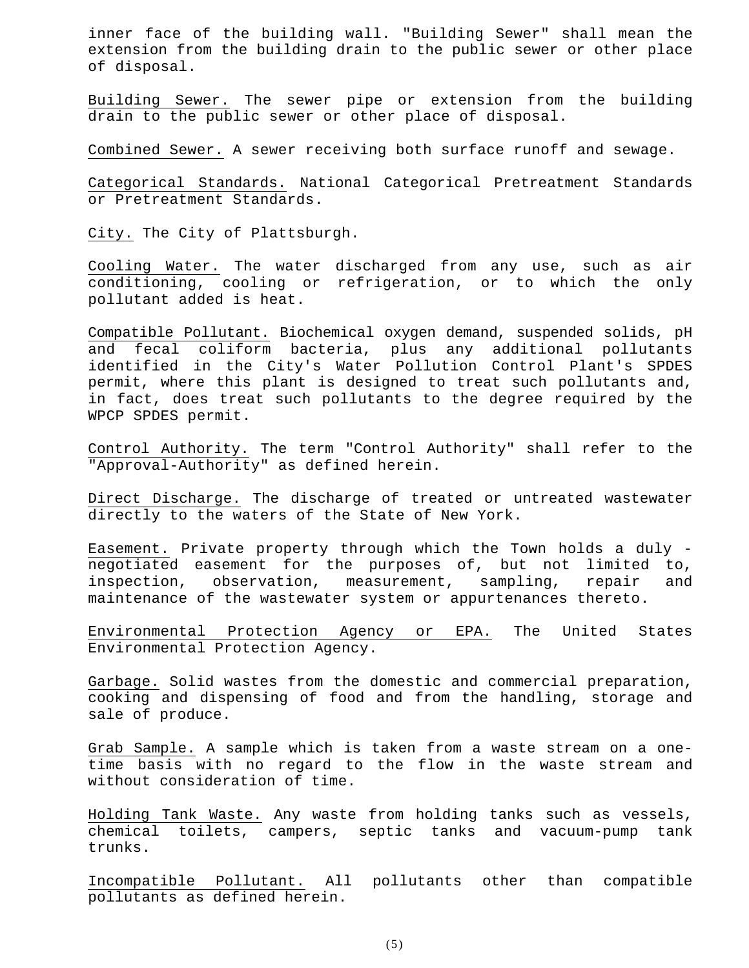inner face of the building wall. "Building Sewer" shall mean the extension from the building drain to the public sewer or other place of disposal.

Building Sewer. The sewer pipe or extension from the building drain to the public sewer or other place of disposal.

Combined Sewer. A sewer receiving both surface runoff and sewage.

Categorical Standards. National Categorical Pretreatment Standards or Pretreatment Standards.

City. The City of Plattsburgh.

Cooling Water. The water discharged from any use, such as air conditioning, cooling or refrigeration, or to which the only pollutant added is heat.

Compatible Pollutant. Biochemical oxygen demand, suspended solids, pH and fecal coliform bacteria, plus any additional pollutants identified in the City's Water Pollution Control Plant's SPDES permit, where this plant is designed to treat such pollutants and, in fact, does treat such pollutants to the degree required by the WPCP SPDES permit.

Control Authority. The term "Control Authority" shall refer to the "Approval-Authority" as defined herein.

Direct Discharge. The discharge of treated or untreated wastewater directly to the waters of the State of New York.

Easement. Private property through which the Town holds a duly negotiated easement for the purposes of, but not limited to, inspection, observation, measurement, sampling, repair and maintenance of the wastewater system or appurtenances thereto.

Environmental Protection Agency or EPA. The United States Environmental Protection Agency.

Garbage. Solid wastes from the domestic and commercial preparation, cooking and dispensing of food and from the handling, storage and sale of produce.

Grab Sample. A sample which is taken from a waste stream on a onetime basis with no regard to the flow in the waste stream and without consideration of time.

Holding Tank Waste. Any waste from holding tanks such as vessels, chemical toilets, campers, septic tanks and vacuum-pump tank trunks.

Incompatible Pollutant. All pollutants other than compatible pollutants as defined herein.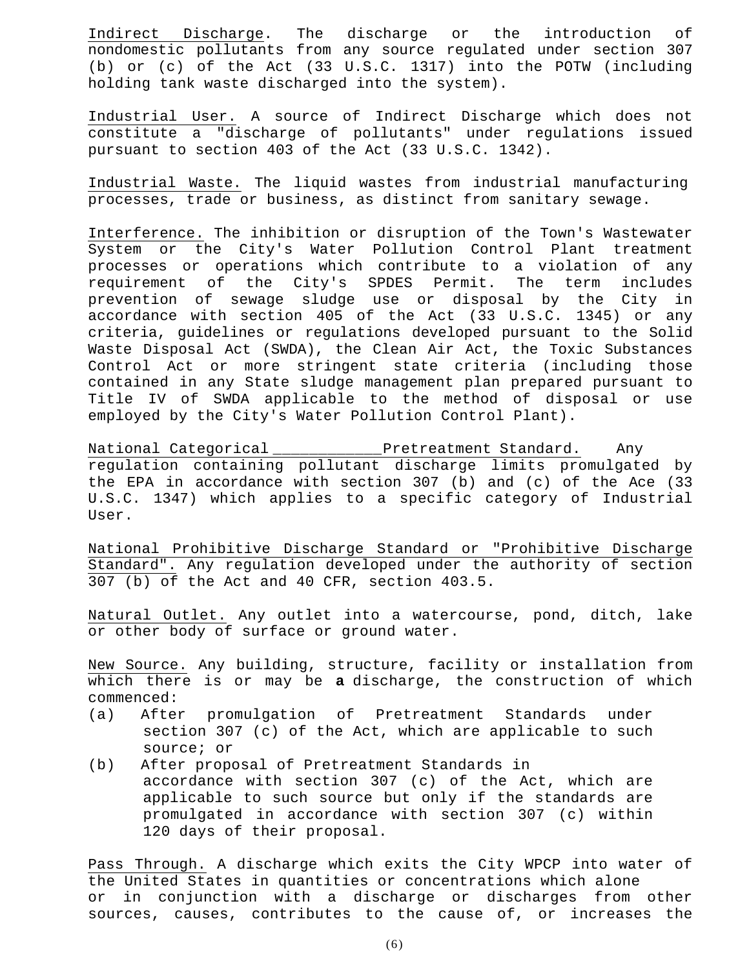Indirect Discharge. The discharge or the introduction of nondomestic pollutants from any source regulated under section 307 (b) or (c) of the Act (33 U.S.C. 1317) into the POTW (including holding tank waste discharged into the system).

Industrial User. A source of Indirect Discharge which does not constitute a "discharge of pollutants" under regulations issued pursuant to section 403 of the Act (33 U.S.C. 1342).

Industrial Waste. The liquid wastes from industrial manufacturing processes, trade or business, as distinct from sanitary sewage.

Interference. The inhibition or disruption of the Town's Wastewater System or the City's Water Pollution Control Plant treatment processes or operations which contribute to a violation of any requirement of the City's SPDES Permit. The term includes prevention of sewage sludge use or disposal by the City in accordance with section 405 of the Act (33 U.S.C. 1345) or any criteria, guidelines or regulations developed pursuant to the Solid Waste Disposal Act (SWDA), the Clean Air Act, the Toxic Substances Control Act or more stringent state criteria (including those contained in any State sludge management plan prepared pursuant to Title IV of SWDA applicable to the method of disposal or use employed by the City's Water Pollution Control Plant).

National Categorical \_\_\_\_\_\_\_\_\_\_\_\_Pretreatment Standard. Any regulation containing pollutant discharge limits promulgated by the EPA in accordance with section 307 (b) and (c) of the Ace (33 U.S.C. 1347) which applies to a specific category of Industrial User.

National Prohibitive Discharge Standard or "Prohibitive Discharge Standard". Any regulation developed under the authority of section 307 (b) of the Act and 40 CFR, section 403.5.

Natural Outlet. Any outlet into a watercourse, pond, ditch, lake or other body of surface or ground water.

New Source. Any building, structure, facility or installation from which there is or may be **a** discharge, the construction of which commenced:

- (a) After promulgation of Pretreatment Standards under section 307 (c) of the Act, which are applicable to such source; or
- (b) After proposal of Pretreatment Standards in accordance with section 307 (c) of the Act, which are applicable to such source but only if the standards are promulgated in accordance with section 307 (c) within 120 days of their proposal.

Pass Through. A discharge which exits the City WPCP into water of the United States in quantities or concentrations which alone or in conjunction with a discharge or discharges from other sources, causes, contributes to the cause of, or increases the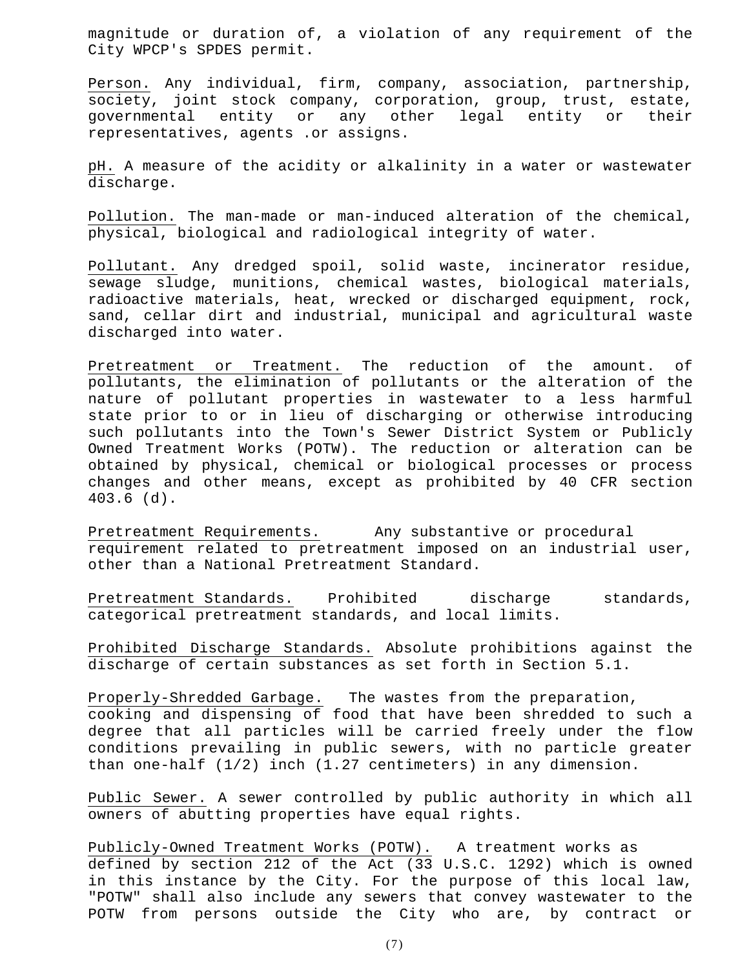magnitude or duration of, a violation of any requirement of the City WPCP's SPDES permit.

Person. Any individual, firm, company, association, partnership, society, joint stock company, corporation, group, trust, estate, governmental entity or any other legal entity or their representatives, agents .or assigns.

pH. A measure of the acidity or alkalinity in a water or wastewater discharge.

Pollution. The man-made or man-induced alteration of the chemical, physical, biological and radiological integrity of water.

Pollutant. Any dredged spoil, solid waste, incinerator residue, sewage sludge, munitions, chemical wastes, biological materials, radioactive materials, heat, wrecked or discharged equipment, rock, sand, cellar dirt and industrial, municipal and agricultural waste discharged into water.

Pretreatment or Treatment. The reduction of the amount. of pollutants, the elimination of pollutants or the alteration of the nature of pollutant properties in wastewater to a less harmful state prior to or in lieu of discharging or otherwise introducing such pollutants into the Town's Sewer District System or Publicly Owned Treatment Works (POTW). The reduction or alteration can be obtained by physical, chemical or biological processes or process changes and other means, except as prohibited by 40 CFR section 403.6 (d).

Pretreatment Requirements. Any substantive or procedural requirement related to pretreatment imposed on an industrial user, other than a National Pretreatment Standard.

Pretreatment Standards. Prohibited discharge standards, categorical pretreatment standards, and local limits.

Prohibited Discharge Standards. Absolute prohibitions against the discharge of certain substances as set forth in Section 5.1.

Properly-Shredded Garbage. The wastes from the preparation, cooking and dispensing of food that have been shredded to such a degree that all particles will be carried freely under the flow conditions prevailing in public sewers, with no particle greater than one-half (1/2) inch (1.27 centimeters) in any dimension.

Public Sewer. A sewer controlled by public authority in which all owners of abutting properties have equal rights.

Publicly-Owned Treatment Works (POTW). A treatment works as defined by section 212 of the Act (33 U.S.C. 1292) which is owned in this instance by the City. For the purpose of this local law, "POTW" shall also include any sewers that convey wastewater to the POTW from persons outside the City who are, by contract or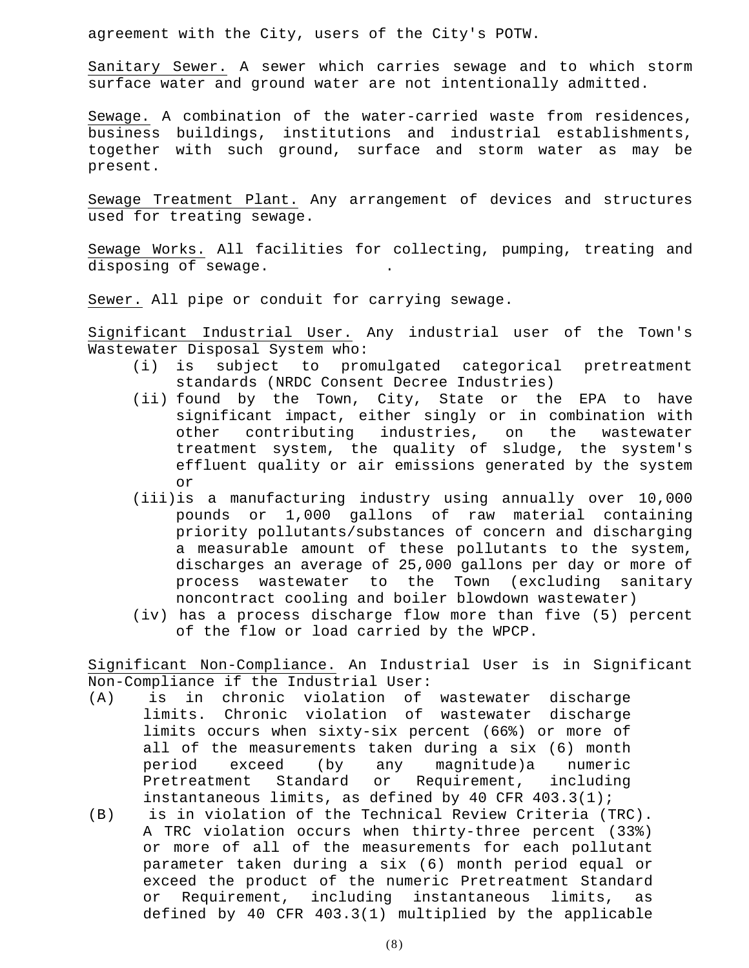agreement with the City, users of the City's POTW.

Sanitary Sewer. A sewer which carries sewage and to which storm surface water and ground water are not intentionally admitted.

Sewage. A combination of the water-carried waste from residences, business buildings, institutions and industrial establishments, together with such ground, surface and storm water as may be present.

Sewage Treatment Plant. Any arrangement of devices and structures used for treating sewage.

Sewage Works. All facilities for collecting, pumping, treating and disposing of sewage. .

Sewer. All pipe or conduit for carrying sewage.

Significant Industrial User. Any industrial user of the Town's Wastewater Disposal System who:

- (i) is subject to promulgated categorical pretreatment standards (NRDC Consent Decree Industries)
- (ii) found by the Town, City, State or the EPA to have significant impact, either singly or in combination with other contributing industries, on the wastewater treatment system, the quality of sludge, the system's effluent quality or air emissions generated by the system or
- (iii)is a manufacturing industry using annually over 10,000 pounds or 1,000 gallons of raw material containing priority pollutants/substances of concern and discharging a measurable amount of these pollutants to the system, discharges an average of 25,000 gallons per day or more of process wastewater to the Town (excluding sanitary noncontract cooling and boiler blowdown wastewater)
- (iv) has a process discharge flow more than five (5) percent of the flow or load carried by the WPCP.

Significant Non-Compliance. An Industrial User is in Significant Non-Compliance if the Industrial User:

- (A) is in chronic violation of wastewater discharge limits. Chronic violation of wastewater discharge limits occurs when sixty-six percent (66%) or more of all of the measurements taken during a six (6) month period exceed (by any magnitude)a numeric Pretreatment Standard or Requirement, including instantaneous limits, as defined by 40 CFR 403.3(1);
- (B) is in violation of the Technical Review Criteria (TRC). A TRC violation occurs when thirty-three percent (33%) or more of all of the measurements for each pollutant parameter taken during a six (6) month period equal or exceed the product of the numeric Pretreatment Standard or Requirement, including instantaneous limits, as defined by 40 CFR 403.3(1) multiplied by the applicable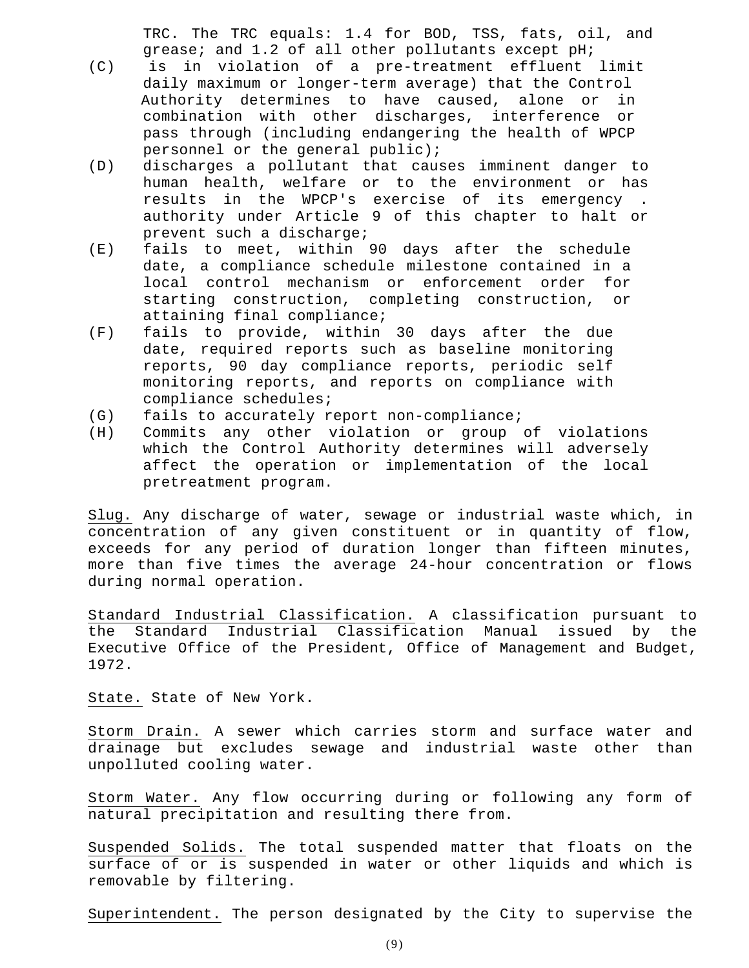TRC. The TRC equals: 1.4 for BOD, TSS, fats, oil, and grease; and 1.2 of all other pollutants except pH;

- (C) is in violation of a pre-treatment effluent limit daily maximum or longer-term average) that the Control Authority determines to have caused, alone or in combination with other discharges, interference or pass through (including endangering the health of WPCP personnel or the general public);
- (D) discharges a pollutant that causes imminent danger to human health, welfare or to the environment or has results in the WPCP's exercise of its emergency . authority under Article 9 of this chapter to halt or prevent such a discharge;
- (E) fails to meet, within 90 days after the schedule date, a compliance schedule milestone contained in a local control mechanism or enforcement order for starting construction, completing construction, or attaining final compliance;
- (F) fails to provide, within 30 days after the due date, required reports such as baseline monitoring reports, 90 day compliance reports, periodic self monitoring reports, and reports on compliance with compliance schedules;
- (G) fails to accurately report non-compliance;
- (H) Commits any other violation or group of violations which the Control Authority determines will adversely affect the operation or implementation of the local pretreatment program.

Slug. Any discharge of water, sewage or industrial waste which, in concentration of any given constituent or in quantity of flow, exceeds for any period of duration longer than fifteen minutes, more than five times the average 24-hour concentration or flows during normal operation.

Standard Industrial Classification. A classification pursuant to the Standard Industrial Classification Manual issued by the Executive Office of the President, Office of Management and Budget, 1972.

State. State of New York.

Storm Drain. A sewer which carries storm and surface water and drainage but excludes sewage and industrial waste other than unpolluted cooling water.

Storm Water. Any flow occurring during or following any form of natural precipitation and resulting there from.

Suspended Solids. The total suspended matter that floats on the surface of or is suspended in water or other liquids and which is removable by filtering.

Superintendent. The person designated by the City to supervise the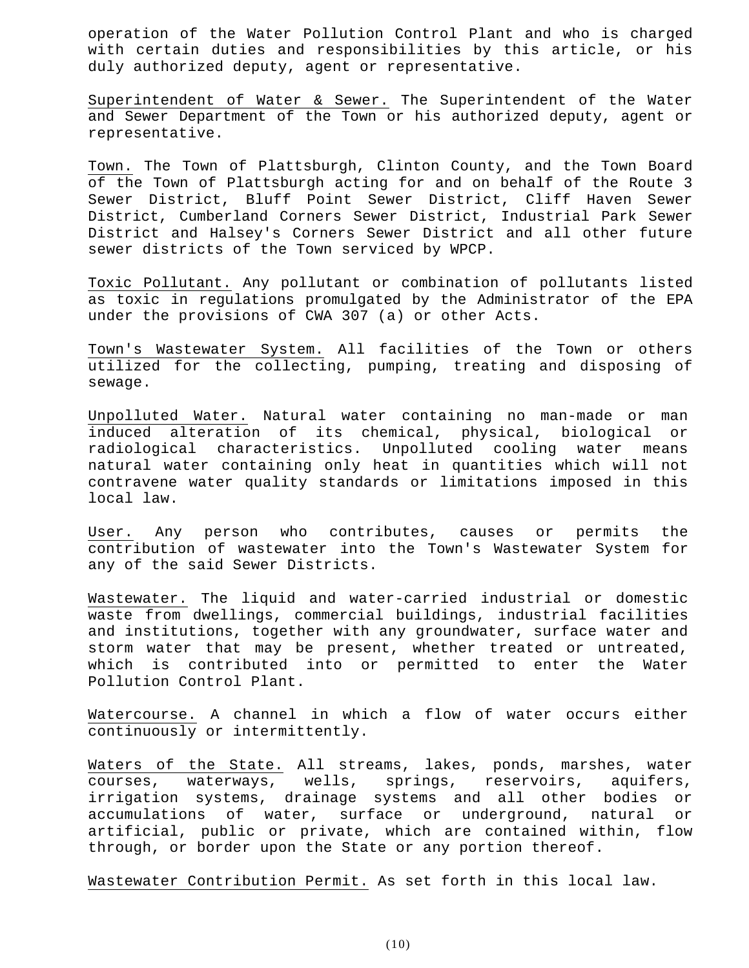operation of the Water Pollution Control Plant and who is charged with certain duties and responsibilities by this article, or his duly authorized deputy, agent or representative.

Superintendent of Water & Sewer. The Superintendent of the Water and Sewer Department of the Town or his authorized deputy, agent or representative.

Town. The Town of Plattsburgh, Clinton County, and the Town Board of the Town of Plattsburgh acting for and on behalf of the Route 3 Sewer District, Bluff Point Sewer District, Cliff Haven Sewer District, Cumberland Corners Sewer District, Industrial Park Sewer District and Halsey's Corners Sewer District and all other future sewer districts of the Town serviced by WPCP.

Toxic Pollutant. Any pollutant or combination of pollutants listed as toxic in regulations promulgated by the Administrator of the EPA under the provisions of CWA 307 (a) or other Acts.

Town's Wastewater System. All facilities of the Town or others utilized for the collecting, pumping, treating and disposing of sewage.

Unpolluted Water. Natural water containing no man-made or man induced alteration of its chemical, physical, biological or radiological characteristics. Unpolluted cooling water means natural water containing only heat in quantities which will not contravene water quality standards or limitations imposed in this local law.

User. Any person who contributes, causes or permits the contribution of wastewater into the Town's Wastewater System for any of the said Sewer Districts.

Wastewater. The liquid and water-carried industrial or domestic waste from dwellings, commercial buildings, industrial facilities and institutions, together with any groundwater, surface water and storm water that may be present, whether treated or untreated, which is contributed into or permitted to enter the Water Pollution Control Plant.

Watercourse. A channel in which a flow of water occurs either continuously or intermittently.

Waters of the State. All streams, lakes, ponds, marshes, water courses, waterways, wells, springs, reservoirs, aquifers, irrigation systems, drainage systems and all other bodies or accumulations of water, surface or underground, natural or artificial, public or private, which are contained within, flow through, or border upon the State or any portion thereof.

Wastewater Contribution Permit. As set forth in this local law.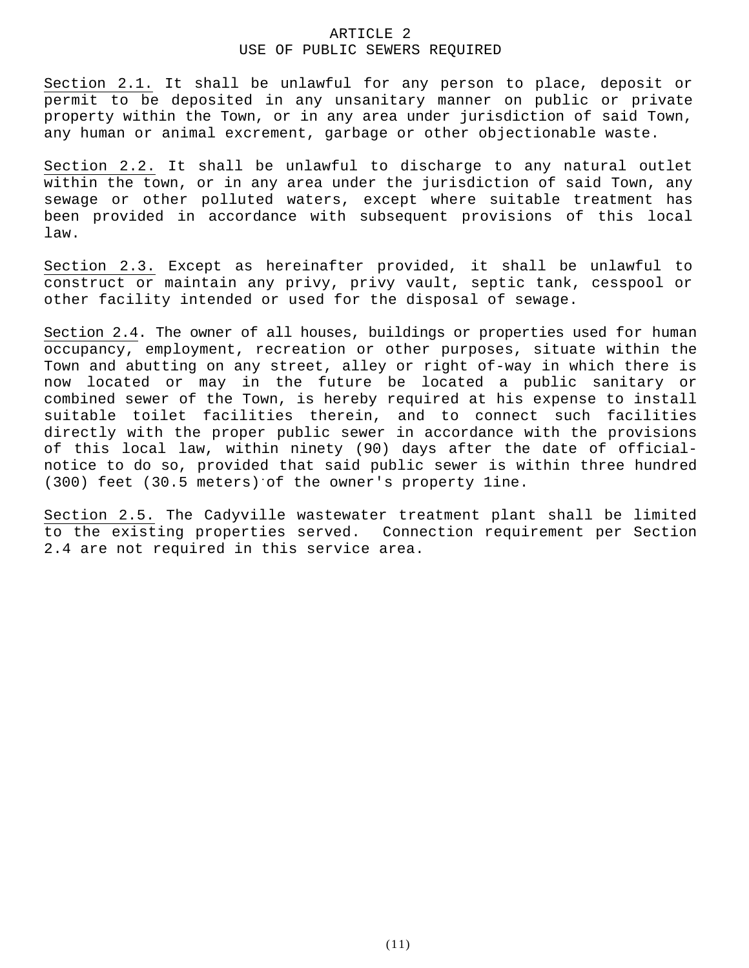## ARTICLE 2 USE OF PUBLIC SEWERS REQUIRED

Section 2.1. It shall be unlawful for any person to place, deposit or permit to be deposited in any unsanitary manner on public or private property within the Town, or in any area under jurisdiction of said Town, any human or animal excrement, garbage or other objectionable waste.

Section 2.2. It shall be unlawful to discharge to any natural outlet within the town, or in any area under the jurisdiction of said Town, any sewage or other polluted waters, except where suitable treatment has been provided in accordance with subsequent provisions of this local law.

Section 2.3. Except as hereinafter provided, it shall be unlawful to construct or maintain any privy, privy vault, septic tank, cesspool or other facility intended or used for the disposal of sewage.

Section 2.4. The owner of all houses, buildings or properties used for human occupancy, employment, recreation or other purposes, situate within the Town and abutting on any street, alley or right of-way in which there is now located or may in the future be located a public sanitary or combined sewer of the Town, is hereby required at his expense to install suitable toilet facilities therein, and to connect such facilities directly with the proper public sewer in accordance with the provisions of this local law, within ninety (90) days after the date of officialnotice to do so, provided that said public sewer is within three hundred (300) feet (30.5 meters) of the owner's property line.

Section 2.5. The Cadyville wastewater treatment plant shall be limited to the existing properties served. Connection requirement per Section 2.4 are not required in this service area.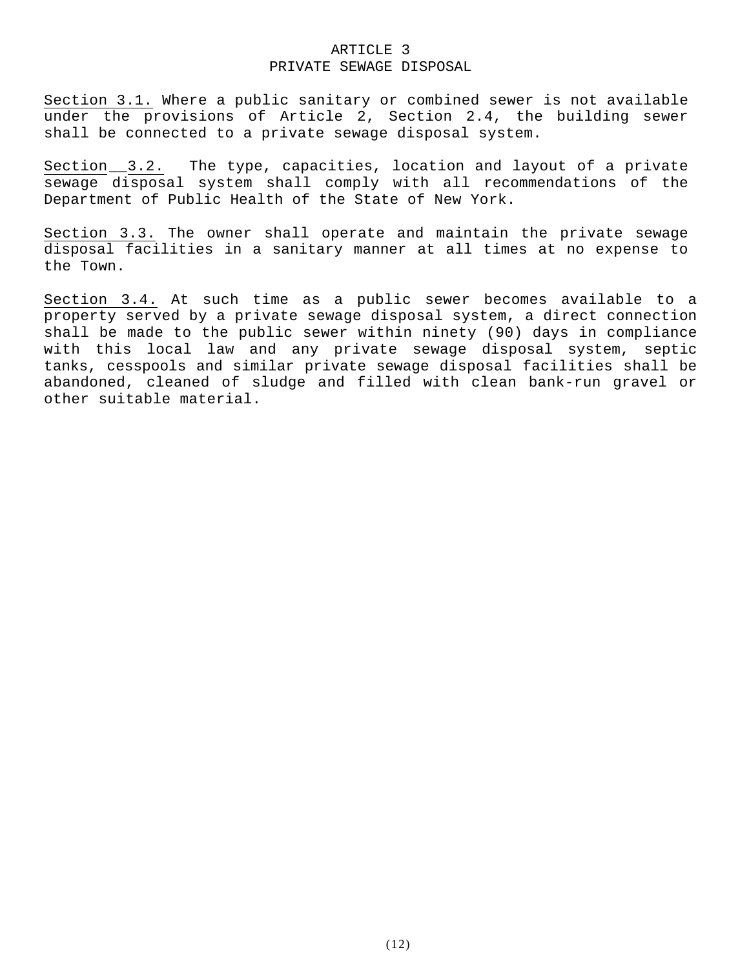## ARTICLE 3 PRIVATE SEWAGE DISPOSAL

Section 3.1. Where a public sanitary or combined sewer is not available under the provisions of Article 2, Section 2.4, the building sewer [shall be](http://shall.be/) connected to a private sewage disposal system.

Section\_\_3.2. The type, capacities, location and layout of a private sewage disposal system shall comply with all recommendations of the Department of Public Health of the State of New York.

Section 3.3. The owner shall operate and maintain the private sewage disposal facilities in a sanitary manner at all times at no expense to the Town.

Section 3.4. At such time as a public sewer becomes available to a property served by a private sewage disposal system, a direct connection shall be made to the public sewer within ninety (90) days in compliance with this local law and any private sewage disposal system, septic tanks, cesspools and similar private sewage disposal facilities shall be abandoned, cleaned of sludge and filled with clean bank-run gravel or other suitable material.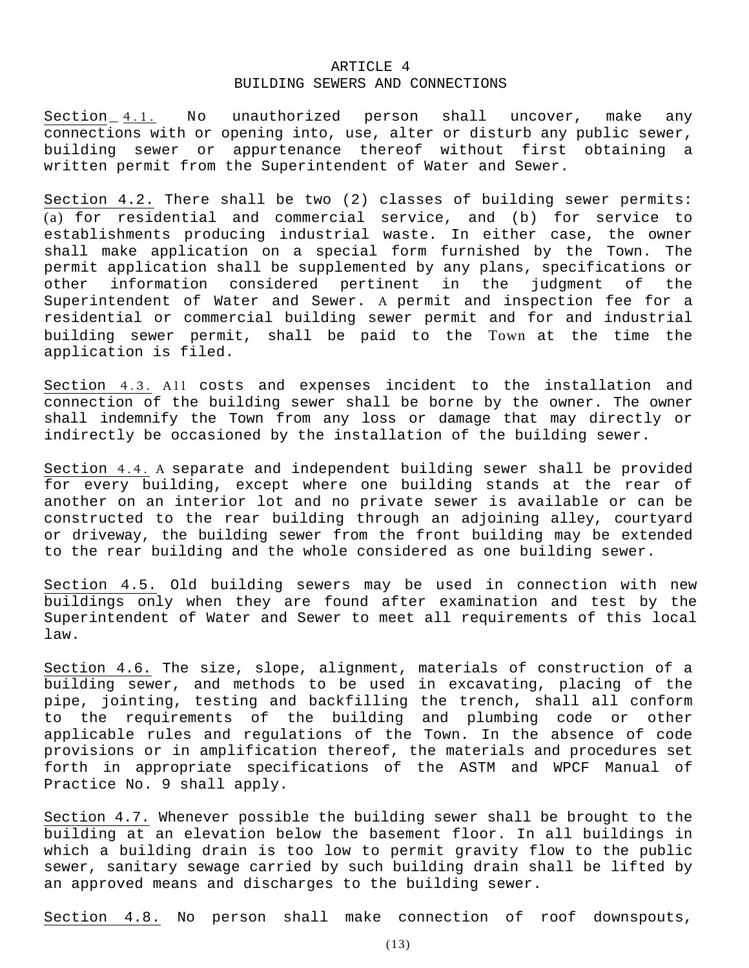### ARTICLE 4 BUILDING SEWERS AND CONNECTIONS

Section 4.1. No unauthorized person shall uncover, make any connections with or opening into, use, alter or disturb any public sewer, building sewer or appurtenance thereof without first obtaining a written permit from the Superintendent of Water and Sewer.

Section 4.2. There shall be two (2) classes of building sewer permits: (a) for residential and commercial service, and (b) for service to establishments producing industrial waste. In either case, the owner shall make application on a special form furnished by the Town. The permit application shall be supplemented by any plans, specifications or other information considered pertinent in the judgment of the Superintendent of Water and Sewer. A permit and inspection fee for a residential or commercial building sewer permit and for and industrial building sewer permit, shall be paid to the Town at the time the application is filed.

Section 4.3. All costs and expenses incident to the installation and connection of the building sewer shall be borne by the owner. The owner shall indemnify the Town from any loss or damage that may directly or indirectly be occasioned by the installation of the building sewer.

Section 4 . 4 . A separate and independent building sewer shall be provided for every building, except where one building stands at the rear of another on an interior lot and no private sewer is available or can be constructed to the rear building through an adjoining alley, courtyard or driveway, the building sewer from the front building may be extended to the rear building and the whole considered as one building sewer.

Section 4.5. Old building sewers may be used in connection with new buildings only when they are found after examination and test by the Superintendent of Water and Sewer to meet all requirements of this local law.

Section 4.6. The size, slope, alignment, materials of construction of a building sewer, and methods to be used in excavating, placing of the pipe, jointing, testing and backfilling the trench, shall all conform to the requirements of the building and plumbing code or other applicable rules and regulations of the Town. In the absence of code provisions or in amplification thereof, the materials and procedures set forth in appropriate specifications of the ASTM and WPCF Manual of Practice No. 9 shall apply.

Section 4.7. Whenever possible the building sewer shall be brought to the building at an elevation below the basement floor. In all buildings in which a building drain is too low to permit gravity flow to the public sewer, sanitary sewage carried by such building drain shall be lifted by an approved means and discharges to the building sewer.

Section 4.8. No person shall make connection of roof downspouts,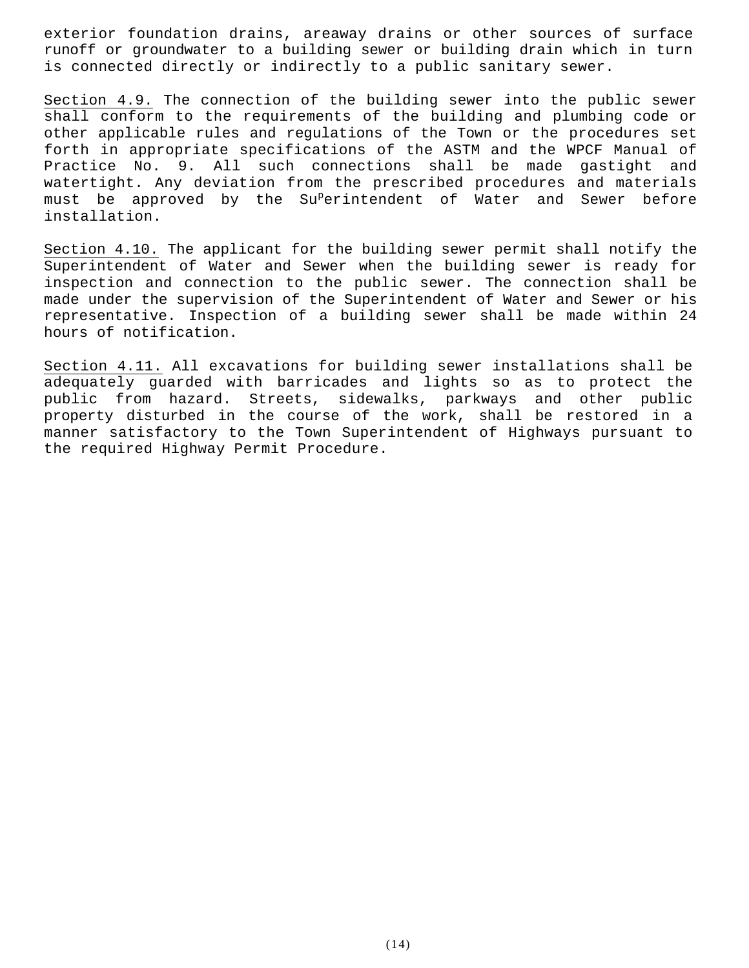exterior foundation drains, areaway drains or other sources of surface runoff or groundwater to a building sewer or building drain which in turn is connected directly or indirectly to a public sanitary sewer.

Section 4.9. The connection of the building sewer into the public sewer shall conform to the requirements of the building and plumbing code or other applicable rules and regulations of the Town or the procedures set forth in appropriate specifications of the ASTM and the WPCF Manual of Practice No. 9. All such connections shall be made gastight and watertight. Any deviation from the prescribed procedures and materials must be approved by the Su<sup>p</sup>erintendent of Water and Sewer before installation.

Section 4.10. The applicant for the building sewer permit shall notify the Superintendent of Water and Sewer when the building sewer is ready for inspection and connection to the public sewer. The connection shall be made under the supervision of the Superintendent of Water and Sewer or his representative. Inspection of a building sewer shall be made within 24 hours of notification.

Section 4.11. All excavations for building sewer installations shall be adequately guarded with barricades and lights so as to protect the public from hazard. Streets, sidewalks, parkways and other public property disturbed in the course of the work, shall be restored in a manner satisfactory to the Town Superintendent of Highways pursuant to the required Highway Permit Procedure.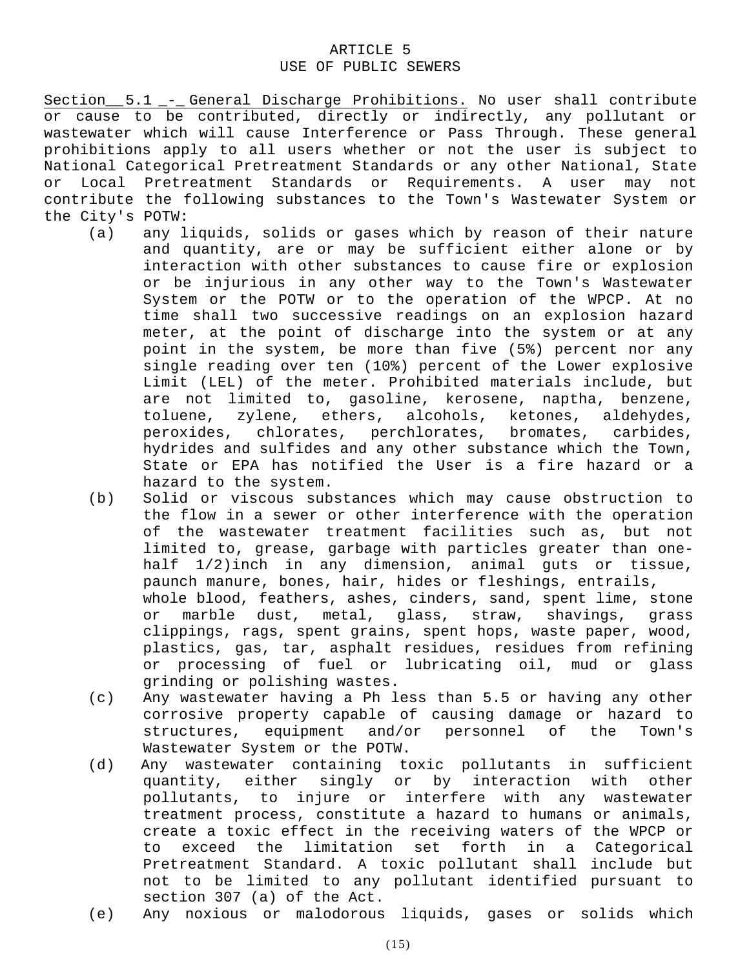# ARTICLE 5 USE OF PUBLIC SEWERS

Section\_\_ 5.1 \_-\_ General Discharge Prohibitions. No user shall contribute or cause to be contributed, directly or indirectly, any pollutant or wastewater which will cause Interference or Pass Through. These general prohibitions apply to all users whether or not the user is subject to National Categorical Pretreatment Standards or any other National, State or Local Pretreatment Standards or Requirements. A user may not contribute the following substances to the Town's Wastewater System or the City's POTW:

- (a) any liquids, solids or gases which by reason of their nature and quantity, are or may be sufficient either alone or by interaction with other substances to cause fire or explosion or be injurious in any other way to the Town's Wastewater System or the POTW or to the operation of the WPCP. At no time shall two successive readings on an explosion hazard meter, at the point of discharge into the system or at any point in the system, be more than five (5%) percent nor any single reading over ten (10%) percent of the Lower explosive Limit (LEL) of the meter. Prohibited materials include, but are not limited to, gasoline, kerosene, naptha, benzene, toluene, zylene, ethers, alcohols, ketones, aldehydes, peroxides, chlorates, perchlorates, bromates, carbides, hydrides and sulfides and any other substance which the Town, State or EPA has notified the User is a fire hazard or a hazard to the system.
- (b) Solid or viscous substances which may cause obstruction to the flow in a sewer or other interference with the operation of the wastewater treatment facilities such as, but not limited to, grease, garbage with particles greater than onehalf 1/2)inch in any dimension, animal guts or tissue, paunch manure, bones, hair, hides or fleshings, entrails, whole blood, feathers, ashes, cinders, sand, spent lime, stone or marble dust, metal, glass, straw, shavings, grass clippings, rags, spent grains, spent hops, waste paper, wood, plastics, gas, tar, asphalt residues, residues from refining or processing of fuel or lubricating oil, mud or glass grinding or polishing wastes.
- (c) Any wastewater having a Ph less than 5.5 or having any other corrosive property capable of causing damage or hazard to structures, equipment and/or personnel of the Town's Wastewater System or the POTW.
- (d) Any wastewater containing toxic pollutants in sufficient quantity, either singly or by interaction with other pollutants, to injure or interfere with any wastewater treatment process, constitute a hazard to humans or animals, create a toxic effect in the receiving waters of the WPCP or to exceed the limitation set forth in a Categorical Pretreatment Standard. A toxic pollutant shall include but not to be limited to any pollutant identified pursuant to section 307 (a) of the Act.
- (e) Any noxious or malodorous liquids, gases or solids which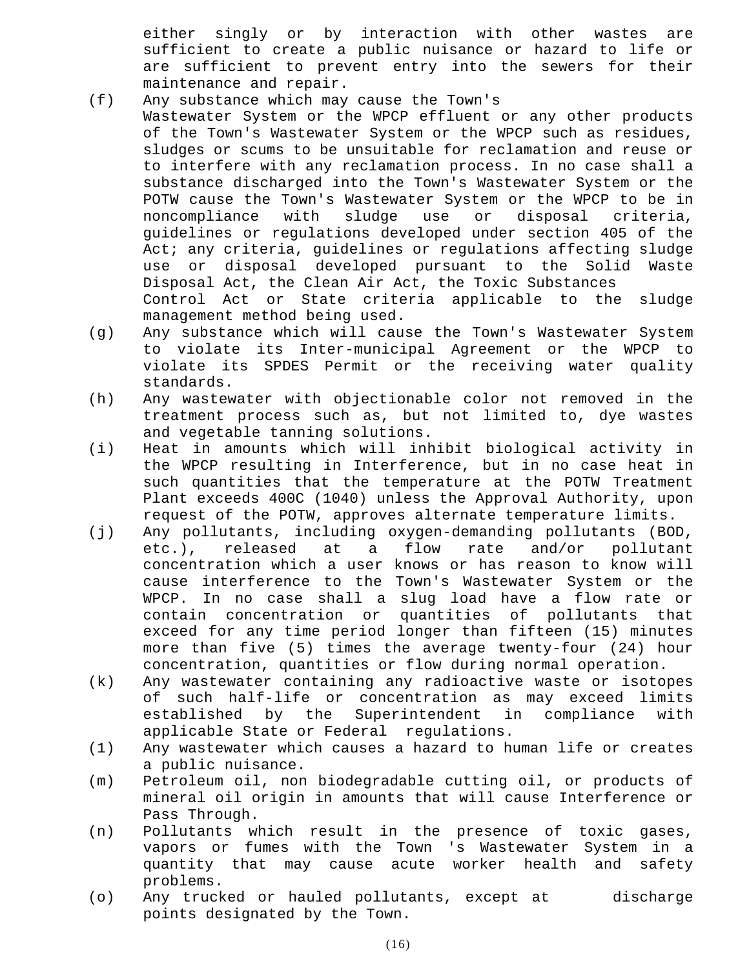either singly or by interaction with other wastes are sufficient to create a public nuisance or hazard to life or are sufficient to prevent entry into the sewers for their maintenance and repair.

- (f) Any substance which may cause the Town's Wastewater System or the WPCP effluent or any other products of the Town's Wastewater System or the WPCP such as residues, sludges or scums to be unsuitable for reclamation and reuse or to interfere with any reclamation process. In no case shall a substance discharged into the Town's Wastewater System or the POTW cause the Town's Wastewater System or the WPCP to be in noncompliance with sludge use or disposal criteria, guidelines or regulations developed under section 405 of the Act; any criteria, guidelines or regulations affecting sludge use or disposal developed pursuant to the Solid Waste Disposal Act, the Clean Air Act, the Toxic Substances Control Act or State criteria applicable to the sludge management method being used.
- (g) Any substance which will cause the Town's Wastewater System to violate its Inter-municipal Agreement or the WPCP to violate its SPDES Permit or the receiving water quality standards.
- (h) Any wastewater with objectionable color not removed in the treatment process such as, but not limited to, dye wastes and vegetable tanning solutions.
- (i) Heat in amounts which will inhibit biological activity in the WPCP resulting in Interference, but in no case heat in such quantities that the temperature at the POTW Treatment Plant exceeds 400C (1040) unless the Approval Authority, upon request of the POTW, approves alternate temperature limits.
- (j) Any pollutants, including oxygen-demanding pollutants (BOD, etc.), released at a flow rate and/or pollutant concentration which a user knows or has reason to know will cause interference to the Town's Wastewater System or the WPCP. In no case shall a slug load have a flow rate or contain concentration or quantities of pollutants that exceed for any time period longer than fifteen (15) minutes more than five (5) times the average twenty-four (24) hour concentration, quantities or flow during normal operation.
- (k) Any wastewater containing any radioactive waste or isotopes of such half-life or concentration as may exceed limits established by the Superintendent in compliance with applicable State or Federal regulations.
- (1) Any wastewater which causes a hazard to human life or creates a public nuisance.
- (m) Petroleum oil, non biodegradable cutting oil, or products of mineral oil origin in amounts that will cause Interference or Pass Through.
- (n) Pollutants which result in the presence of toxic gases, vapors or fumes with the Town 's Wastewater System in a quantity that may cause acute worker health and safety problems.
- (o) Any trucked or hauled pollutants, except at discharge points designated by the Town.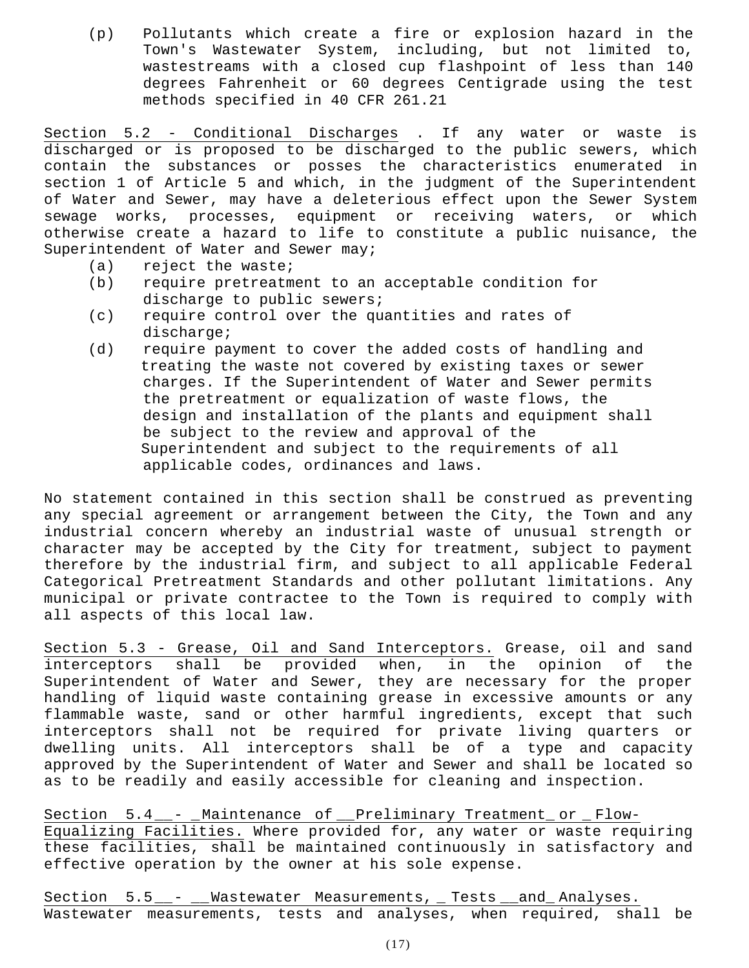(p) Pollutants which create a fire or explosion hazard in the Town's Wastewater System, including, but not limited to, wastestreams with a closed cup flashpoint of less than 140 degrees Fahrenheit or 60 degrees Centigrade using the test methods specified in 40 CFR 261.21

Section 5.2 - Conditional Discharges . If any water or waste is discharged or is proposed to be discharged to the public sewers, which contain the substances or posses the characteristics enumerated in section 1 of Article 5 and which, in the judgment of the Superintendent of Water and Sewer, may have a deleterious effect upon the Sewer System sewage works, processes, equipment or receiving waters, or which otherwise create a hazard to life to constitute a public nuisance, the Superintendent of Water and Sewer may;

- (a) reject the waste;
- (b) require pretreatment to an acceptable condition for discharge to public sewers;
- (c) require control over the quantities and rates of discharge;
- (d) require payment to cover the added costs of handling and treating the waste not covered by existing taxes or sewer charges. If the Superintendent of Water and Sewer permits the pretreatment or equalization of waste flows, the design and installation of the plants and equipment shall be subject to the review and approval of the Superintendent and subject to the requirements of all applicable codes, ordinances and laws.

No statement contained in this section shall be construed as preventing any special agreement or arrangement between the City, the Town and any industrial concern whereby an industrial waste of unusual strength or character may be accepted by the City for treatment, subject to payment therefore by the industrial firm, and subject to all applicable Federal Categorical Pretreatment Standards and other pollutant limitations. Any municipal or private contractee to the Town is required to comply with all aspects of this local law.

Section 5.3 - Grease, Oil and Sand Interceptors. Grease, oil and sand interceptors shall be provided when, in the opinion of the Superintendent of Water and Sewer, they are necessary for the proper handling of liquid waste containing grease in excessive amounts or any flammable waste, sand or other harmful ingredients, except that such interceptors shall not be required for private living quarters or dwelling units. All interceptors shall be of a type and capacity approved by the Superintendent of Water and Sewer and shall be located so as to be readily and easily accessible for cleaning and inspection.

Section 5.4 \_\_- \_ Maintenance of \_\_Preliminary Treatment\_ or \_ Flow-Equalizing Facilities. Where provided for, any water or waste requiring these facilities, shall be maintained continuously in satisfactory and effective operation by the owner at his sole expense.

Section 5.5 \_\_- \_\_ Wastewater Measurements, \_ Tests \_\_and\_Analyses. Wastewater measurements, tests and analyses, when required, shall be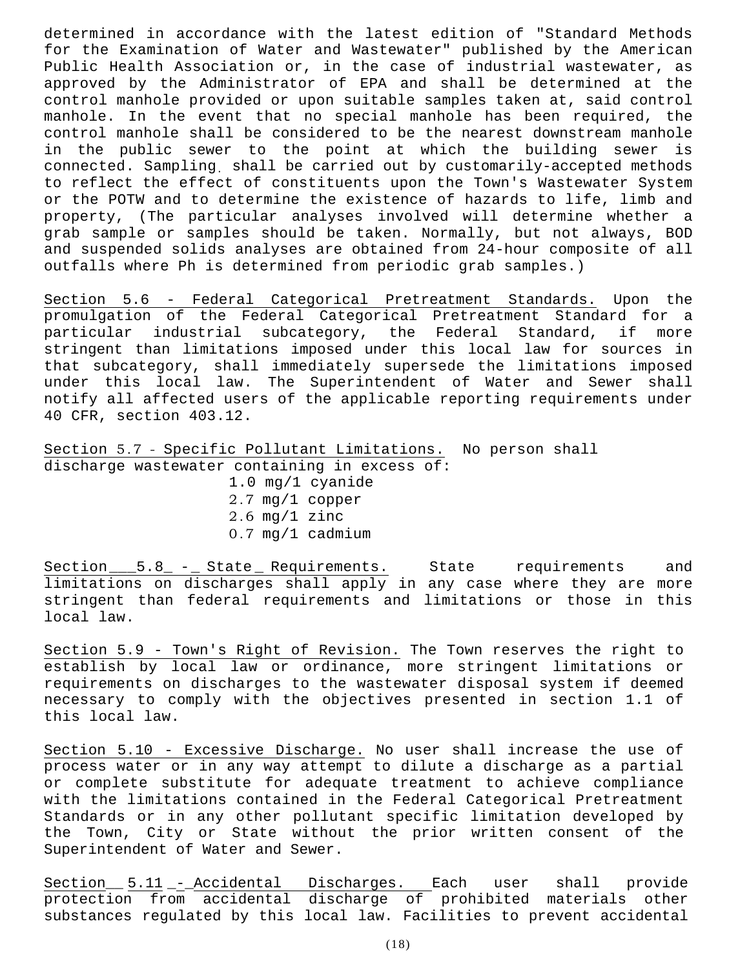determined in accordance with the latest edition of "Standard Methods for the Examination of Water and Wastewater" published by the American Public Health Association or, in the case of industrial wastewater, as approved by the Administrator of EPA and shall be determined at the control manhole provided or upon suitable samples taken at, said control manhole. In the event that no special manhole has been required, the control manhole shall be considered to be the nearest downstream manhole in the public sewer to the point at which the building sewer is connected. Sampling. shall be carried out by customarily-accepted methods to reflect the effect of constituents upon the Town's Wastewater System or the POTW and to determine the existence of hazards to life, limb and property, (The particular analyses involved will determine whether a grab sample or samples should be taken. Normally, but not always, BOD and suspended solids analyses are obtained from 24-hour composite of all outfalls where Ph is determined from periodic grab samples.)

Section 5.6 - Federal Categorical Pretreatment Standards. Upon the promulgation of the Federal Categorical Pretreatment Standard for a particular industrial subcategory, the Federal Standard, if more stringent than limitations imposed under this local law for sources in that subcategory, shall immediately supersede the limitations imposed under this local law. The Superintendent of Water and Sewer shall notify all affected users of the applicable reporting requirements under 40 CFR, section 403.12.

Section 5.7 - Specific Pollutant Limitations. No person shall discharge wastewater containing in excess of: 1.0 mg/1 cyanide 2.7 mg/1 copper 2.6 mg/1 zinc 0.7 mg/1 cadmium

Section 5.8 - State Requirements. State requirements and limitations on discharges shall apply in any case where they are more stringent than federal requirements and limitations or those in this local law.

Section 5.9 - Town's Right of Revision. The Town reserves the right to establish by local law or ordinance, more stringent limitations or requirements on discharges to the wastewater disposal system if deemed necessary to comply with the objectives presented in section 1.1 of this local law.

Section 5.10 - Excessive Discharge. No user shall increase the use of process water or in any way attempt to dilute a discharge as a partial or complete substitute for adequate treatment to achieve compliance with the limitations contained in the Federal Categorical Pretreatment Standards or in any other pollutant specific limitation developed by the Town, City or State without the prior written consent of the Superintendent of Water and Sewer.

Section 5.11 -- Accidental Discharges. Each user shall provide protection from accidental discharge of prohibited materials other substances regulated by this local law. Facilities to prevent accidental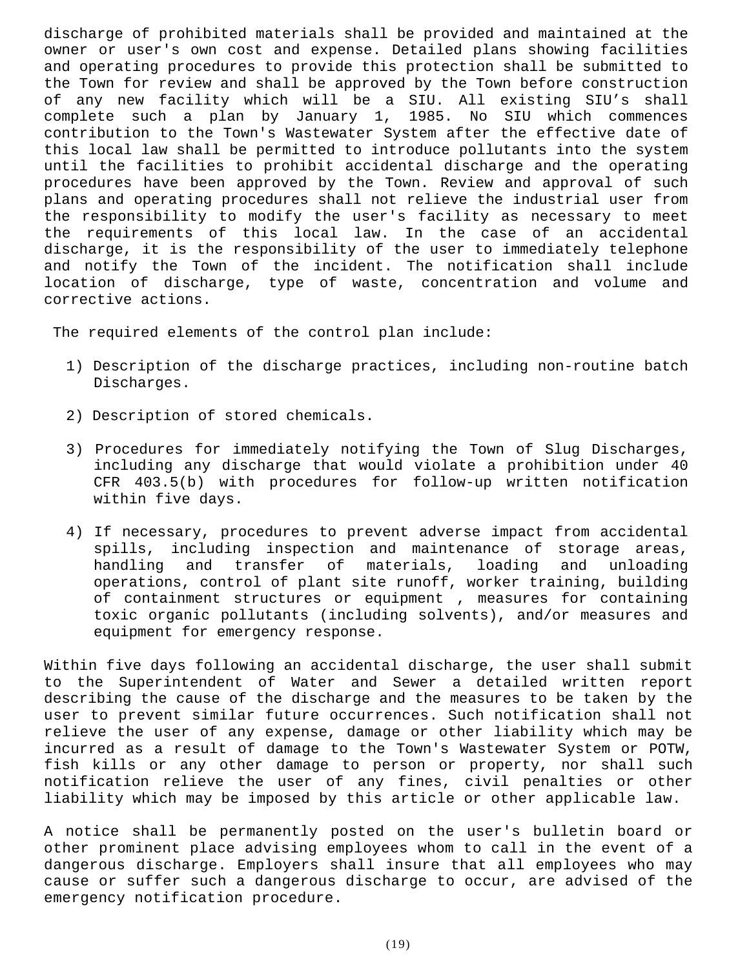discharge of prohibited materials shall be provided and maintained at the owner or user's own cost and expense. Detailed plans showing facilities and operating procedures to provide this protection shall be submitted to the Town for review and shall be approved by the Town before construction of any new facility which will be a SIU. All existing SIU's shall complete such a plan by January 1, 1985. No SIU which commences contribution to the Town's Wastewater System after the effective date of this local law shall be permitted to introduce pollutants into the system until the facilities to prohibit accidental discharge and the operating procedures have been approved by the Town. Review and approval of such plans and operating procedures shall not relieve the industrial user from the responsibility to modify the user's facility as necessary to meet the requirements of this local law. In the case of an accidental discharge, it is the responsibility of the user to immediately telephone and notify the Town of the incident. The notification shall include location of discharge, type of waste, concentration and volume and corrective actions.

The required elements of the control plan include:

- 1) Description of the discharge practices, including non-routine batch Discharges.
- 2) Description of stored chemicals.
- 3) Procedures for immediately notifying the Town of Slug Discharges, including any discharge that would violate a prohibition under 40 CFR 403.5(b) with procedures for follow-up written notification within five days.
- 4) If necessary, procedures to prevent adverse impact from accidental spills, including inspection and maintenance of storage areas, handling and transfer of materials, loading and unloading operations, control of plant site runoff, worker training, building of containment structures or equipment , measures for containing toxic organic pollutants (including solvents), and/or measures and equipment for emergency response.

Within five days following an accidental discharge, the user shall submit to the Superintendent of Water and Sewer a detailed written report describing the cause of the discharge and the measures to be taken by the user to prevent similar future occurrences. Such notification shall not relieve the user of any expense, damage or other liability which may be incurred as a result of damage to the Town's Wastewater System or POTW, fish kills or any other damage to person or property, nor shall such notification relieve the user of any fines, civil penalties or other liability which may be imposed by this article or other applicable law.

A notice shall be permanently posted on the user's bulletin board or other prominent place advising employees whom to call in the event of a dangerous discharge. Employers shall insure that all employees who may cause or suffer such a dangerous discharge to occur, are advised of the emergency notification procedure.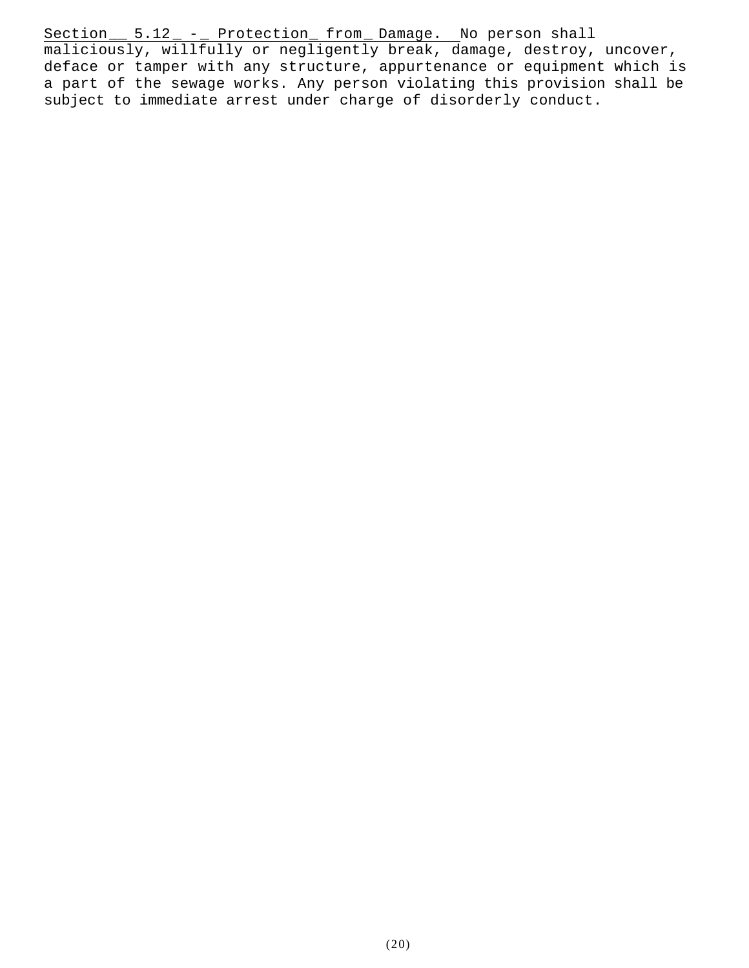Section \_\_ 5.12 \_ - \_ Protection \_ from \_ Damage. No person shall maliciously, willfully or negligently break, damage, destroy, uncover, deface or tamper with any structure, appurtenance or equipment which is a part of the sewage works. Any person violating this provision shall be subject to immediate arrest under charge of disorderly conduct.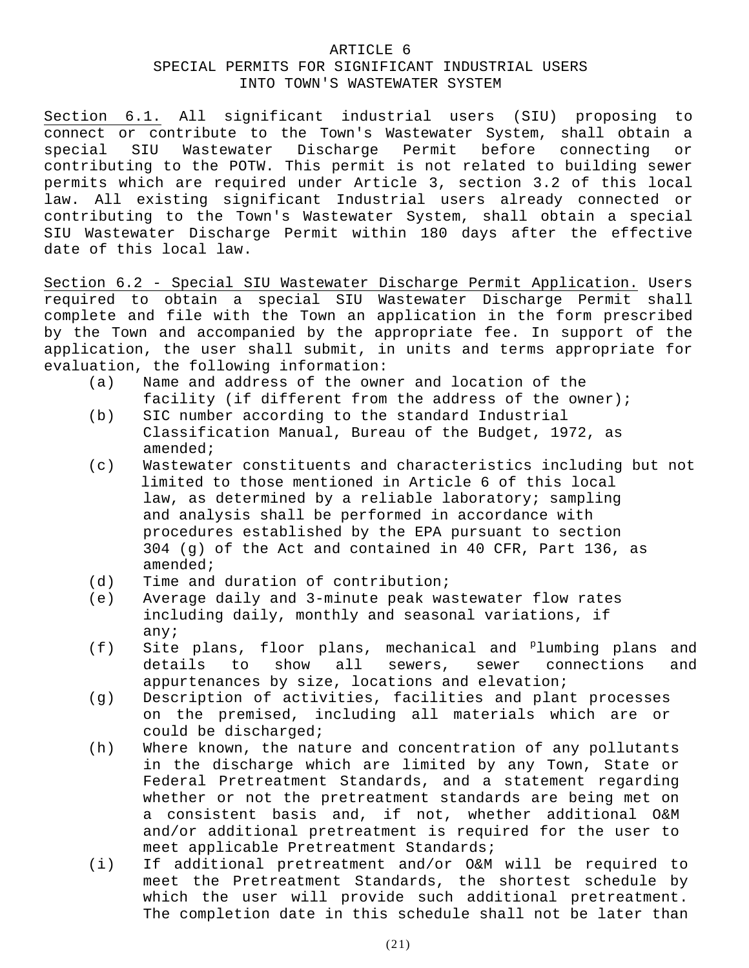## ARTICLE 6 SPECIAL PERMITS FOR SIGNIFICANT INDUSTRIAL USERS INTO TOWN'S WASTEWATER SYSTEM

Section 6.1. All significant industrial users (SIU) proposing to connect or contribute to the Town's Wastewater System, shall obtain a special SIU Wastewater Discharge Permit before connecting or contributing to the POTW. This permit is not related to building sewer permits which are required under Article 3, section 3.2 of this local law. All existing significant Industrial users already connected or contributing to the Town's Wastewater System, shall obtain a special SIU Wastewater Discharge Permit within 180 days after the effective date of this local law.

Section 6.2 - Special SIU Wastewater Discharge Permit Application. Users required to obtain a special SIU Wastewater Discharge Permit shall complete and file with the Town an application in the form prescribed by the Town and accompanied by the appropriate fee. In support of the application, the user shall submit, in units and terms appropriate for evaluation, the following information:

- (a) Name and address of the owner and location of the facility (if different from the address of the owner);
- (b) SIC number according to the standard Industrial Classification Manual, Bureau of the Budget, 1972, as amended;
- (c) Wastewater constituents and characteristics including but not limited to those mentioned in Article 6 of this local law, as determined by a reliable laboratory; sampling and analysis shall be performed in accordance with procedures established by the EPA pursuant to section 304 (g) of the Act and contained in 40 CFR, Part 136, as amended;
- (d) Time and duration of contribution;
- (e) Average daily and 3-minute peak wastewater flow rates including daily, monthly and seasonal variations, if any;
- $(f)$  Site plans, floor plans, mechanical and <sup>p</sup>lumbing plans and details to show all sewers, sewer connections and appurtenances by size, locations and elevation;
- (g) Description of activities, facilities and plant processes on the premised, including all materials which are or could be discharged;
- (h) Where known, the nature and concentration of any pollutants in the discharge which are limited by any Town, State or Federal Pretreatment Standards, and a statement regarding whether or not the pretreatment standards are being met on a consistent basis and, if not, whether additional O&M and/or additional pretreatment is required for the user to meet applicable Pretreatment Standards;
- (i) If additional pretreatment and/or O&M will be required to meet the Pretreatment Standards, the shortest schedule by which the user will provide such additional pretreatment. The completion date in this schedule shall not be later than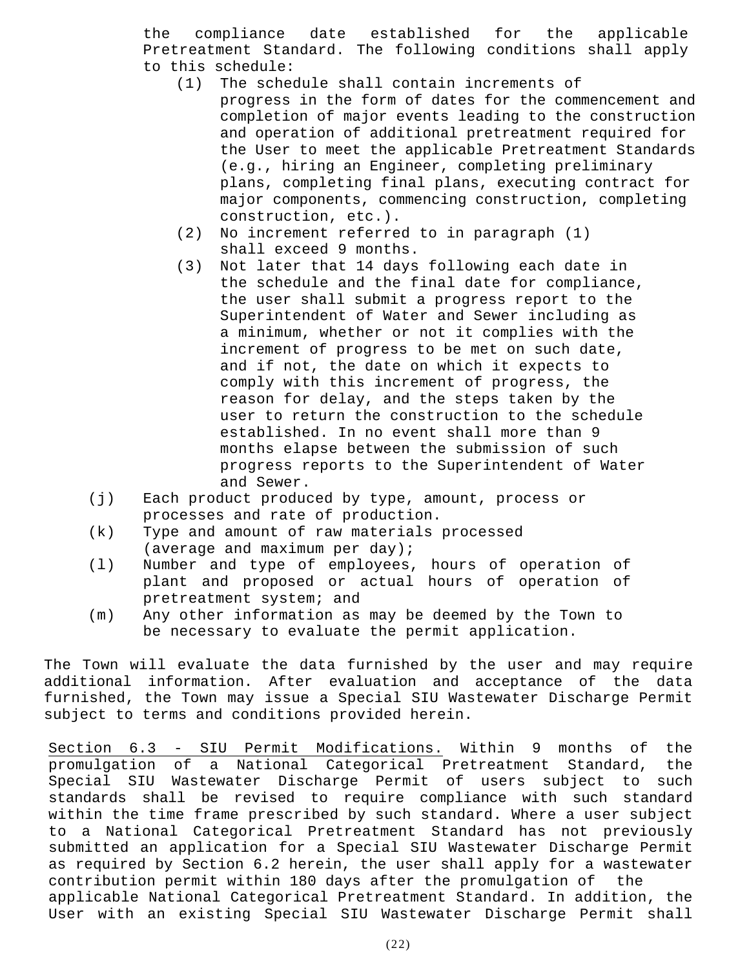the compliance date established for the applicable Pretreatment Standard. The following conditions shall apply to this schedule:

- (1) The schedule shall contain increments of progress in the form of dates for the commencement and completion of major events leading to the construction and operation of additional pretreatment required for the User to meet the applicable Pretreatment Standards (e.g., hiring an Engineer, completing preliminary plans, completing final plans, executing contract for major components, commencing construction, completing construction, etc.).
- (2) No increment referred to in paragraph (1) shall exceed 9 months.
- (3) Not later that 14 days following each date in the schedule and the final date for compliance, the user shall submit a progress report to the Superintendent of Water and Sewer including as a minimum, whether or not it complies with the increment of progress to be met on such date, and if not, the date on which it expects to comply with this increment of progress, the reason for delay, and the steps taken by the user to return the construction to the schedule established. In no event shall more than 9 months elapse between the submission of such progress reports to the Superintendent of Water and Sewer.
- (j) Each product produced by type, amount, process or processes and rate of production.
- (k) Type and amount of raw materials processed (average and maximum per day);
- (l) Number and type of employees, hours of operation of plant and proposed or actual hours of operation of pretreatment system; and
- (m) Any other information as may be deemed by the Town to be necessary to evaluate the permit application.

The Town will evaluate the data furnished by the user and may require additional information. After evaluation and acceptance of the data furnished, the Town may issue a Special SIU Wastewater Discharge Permit subject to terms and conditions provided herein.

Section 6.3 - SIU Permit Modifications. Within 9 months of the promulgation of a National Categorical Pretreatment Standard, the Special SIU Wastewater Discharge Permit of users subject to such standards shall be revised to require compliance with such standard within the time frame prescribed by such standard. Where a user subject to a National Categorical Pretreatment Standard has not previously submitted an application for a Special SIU Wastewater Discharge Permit as required by Section 6.2 herein, the user shall apply for a wastewater contribution permit within 180 days after the promulgation of the applicable National Categorical Pretreatment Standard. In addition, the User with an existing Special SIU Wastewater Discharge Permit shall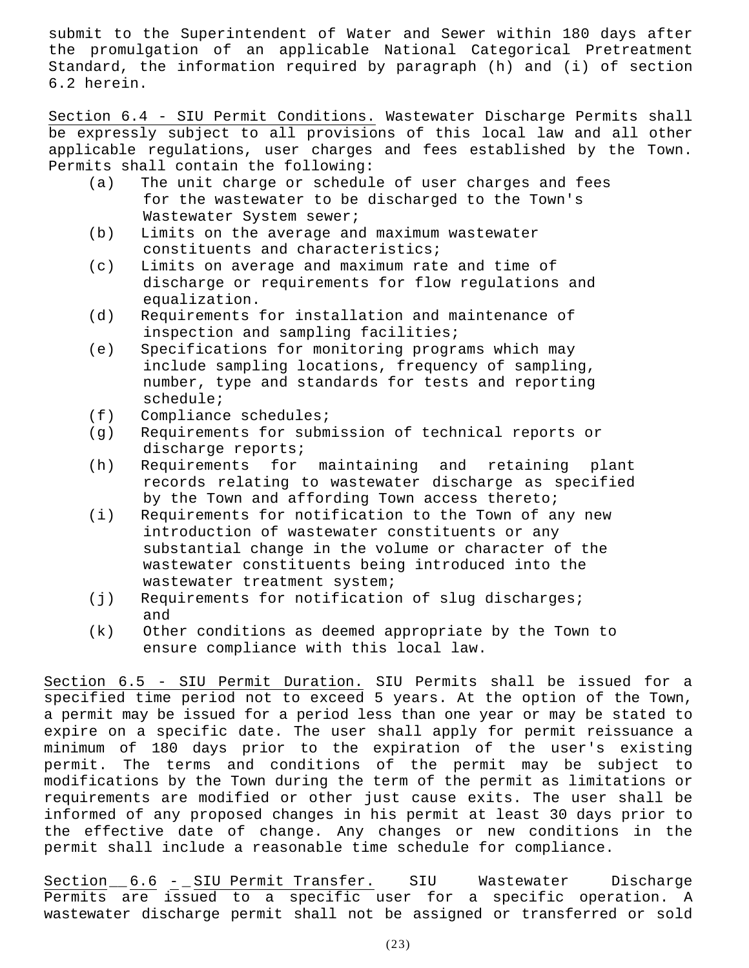submit to the Superintendent of Water and Sewer within 180 days after the promulgation of an applicable National Categorical Pretreatment Standard, the information required by paragraph (h) and (i) of section 6.2 herein.

Section 6.4 - SIU Permit Conditions. Wastewater Discharge Permits shall be expressly subject to all provisions of this local law and all other applicable regulations, user charges and fees established by the Town. Permits shall contain the following:

- (a) The unit charge or schedule of user charges and fees for the wastewater to be discharged to the Town's Wastewater System sewer;
- (b) Limits on the average and maximum wastewater constituents and characteristics;
- (c) Limits on average and maximum rate and time of discharge or requirements for flow regulations and equalization.
- (d) Requirements for installation and maintenance of inspection and sampling facilities;
- (e) Specifications for monitoring programs which may include sampling locations, frequency of sampling, number, type and standards for tests and reporting schedule;
- (f) Compliance schedules;
- (g) Requirements for submission of technical reports or discharge reports;
- (h) Requirements for maintaining and retaining plant records relating to wastewater discharge as specified by the Town and affording Town access thereto;
- (i) Requirements for notification to the Town of any new introduction of wastewater constituents or any substantial change in the volume or character of the wastewater constituents being introduced into the wastewater treatment system;
- (j) Requirements for notification of slug discharges; and
- (k) Other conditions as deemed appropriate by the Town to ensure compliance with this local law.

Section 6.5 - SIU Permit Duration. SIU Permits shall be issued for a specified time period not to exceed 5 years. At the option of the Town, a permit may be issued for a period less than one year or may be stated to expire on a specific date. The user shall apply for permit reissuance a minimum of 180 days prior to the expiration of the user's existing permit. The terms and conditions of the permit may be subject to modifications by the Town during the term of the permit as limitations or requirements are modified or other just cause exits. The user shall be informed of any proposed changes in his permit at least 30 days prior to the effective date of change. Any changes or new conditions in the permit shall include a reasonable time schedule for compliance.

Section\_\_ 6.6 - \_ SIU Permit Transfer. SIU Wastewater Discharge Permits are issued to a specific user for a specific operation. A wastewater discharge permit shall not be assigned or transferred or sold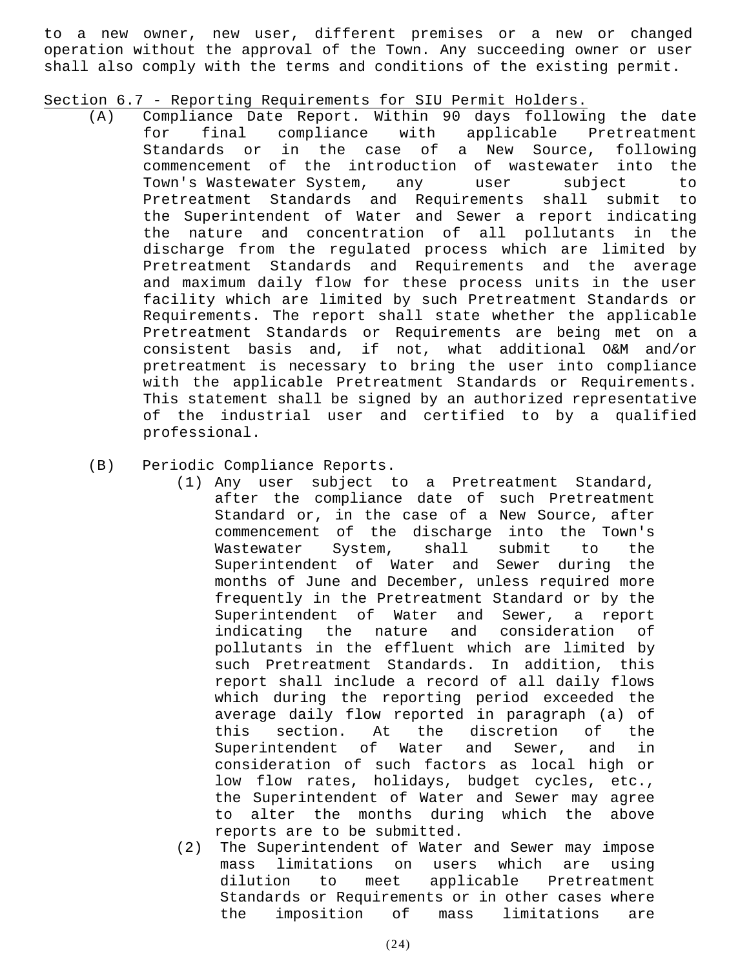to a new owner, new user, different premises or a new or changed operation without the approval of the Town. Any succeeding owner or user shall also comply with the terms and conditions of the existing permit.

Section 6.7 - Reporting Requirements for SIU Permit Holders.

- (A) Compliance Date Report. Within 90 days following the date for final compliance with applicable Pretreatment Standards or in the case of a New Source, following commencement of the introduction of wastewater into the Town's Wastewater System, any user subject to Pretreatment Standards and Requirements shall submit to the Superintendent of Water and Sewer a report indicating the nature and concentration of all pollutants in the discharge from the regulated process which are limited by Pretreatment Standards and Requirements and the average and maximum daily flow for these process units in the user facility which are limited by such Pretreatment Standards or Requirements. The report shall state whether the applicable Pretreatment Standards or Requirements are being met on a consistent basis and, if not, what additional O&M and/or pretreatment is necessary to bring the user into compliance with the applicable Pretreatment Standards or Requirements. This statement shall be signed by an authorized representative of the industrial user and certified to by a qualified professional.
- (B) Periodic Compliance Reports.
	- (1) Any user subject to a Pretreatment Standard, after the compliance date of such Pretreatment Standard or, in the case of a New Source, after commencement of the discharge into the Town's Wastewater System, shall submit to the Superintendent of Water and Sewer during the months of June and December, unless required more frequently in the Pretreatment Standard or by the Superintendent of Water and Sewer, a report indicating the nature and consideration of pollutants in the effluent which are limited by such Pretreatment Standards. In addition, this report shall include a record of all daily flows which during the reporting period exceeded the average daily flow reported in paragraph (a) of this section. At the discretion of the Superintendent of Water and Sewer, and in consideration of such factors as local high or low flow rates, holidays, budget cycles, etc., the Superintendent of Water and Sewer may agree to alter the months during which the above reports are to be submitted.
	- (2) The Superintendent of Water and Sewer may impose mass limitations on users which are using dilution to meet applicable Pretreatment Standards or Requirements or in other cases where the imposition of mass limitations are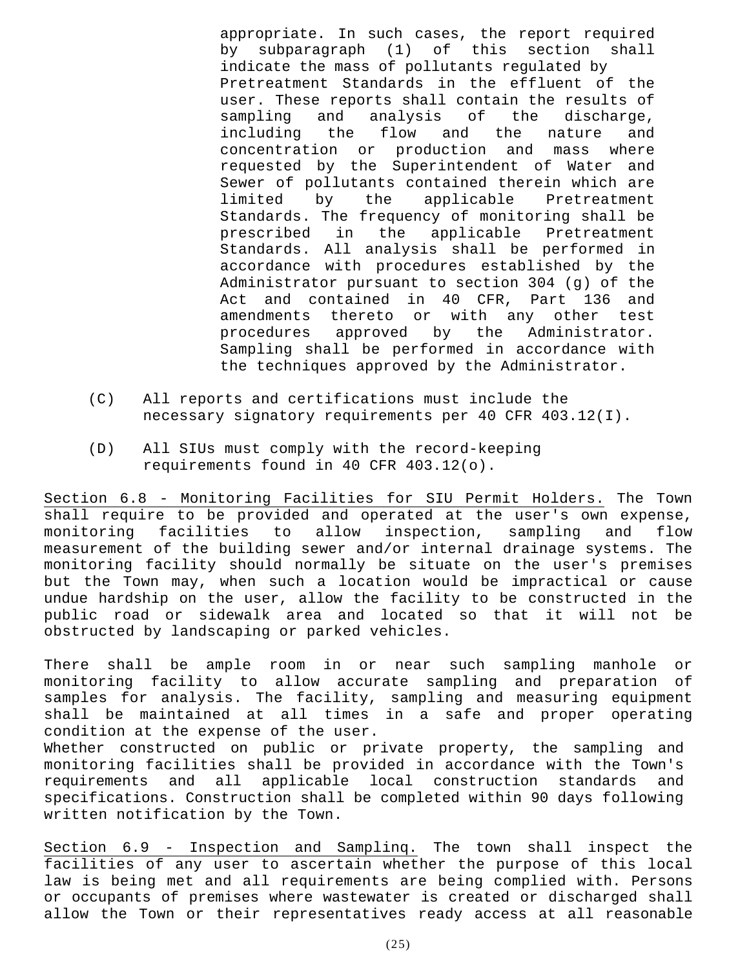appropriate. In such cases, the report required by subparagraph (1) of this section shall indicate the mass of pollutants regulated by Pretreatment Standards in the effluent of the user. These reports shall contain the results of sampling and analysis of the discharge, including the flow and the nature and concentration or production and mass where requested by the Superintendent of Water and Sewer of pollutants contained therein which are limited by the applicable Pretreatment Standards. The frequency of monitoring shall be prescribed in the applicable Pretreatment Standards. All analysis shall be performed in accordance with procedures established by the Administrator pursuant to section 304 (g) of the Act and contained in 40 CFR, Part 136 and amendments thereto or with any other test procedures approved by the Administrator. Sampling shall be performed in accordance with the techniques approved by the Administrator.

- (C) All reports and certifications must include the necessary signatory requirements per 40 CFR 403.12(I).
- (D) All SIUs must comply with the record-keeping requirements found in 40 CFR 403.12(o).

Section 6.8 - Monitoring Facilities for SIU Permit Holders. The Town shall require to be provided and operated at the user's own expense, monitoring facilities to allow inspection, sampling and flow measurement of the building sewer and/or internal drainage systems. The monitoring facility should normally be situate on the user's premises but the Town may, when such a location would be impractical or cause undue hardship on the user, allow the facility to be constructed in the public road or sidewalk area and located so that it will not be obstructed by landscaping or parked vehicles.

There shall be ample room in or near such sampling manhole or monitoring facility to allow accurate sampling and preparation of samples for analysis. The facility, sampling and measuring equipment shall be maintained at all times in a safe and proper operating condition at the expense of the user.

Whether constructed on public or private property, the sampling and monitoring facilities shall be provided in accordance with the Town's requirements and all applicable local construction standards and specifications. Construction shall be completed within 90 days following written notification by the Town.

Section 6.9 - Inspection and Samplinq. The town shall inspect the facilities of any user to ascertain whether the purpose of this local law is being met and all requirements are being complied with. Persons or occupants of premises where wastewater is created or discharged shall allow the Town or their representatives ready access at all reasonable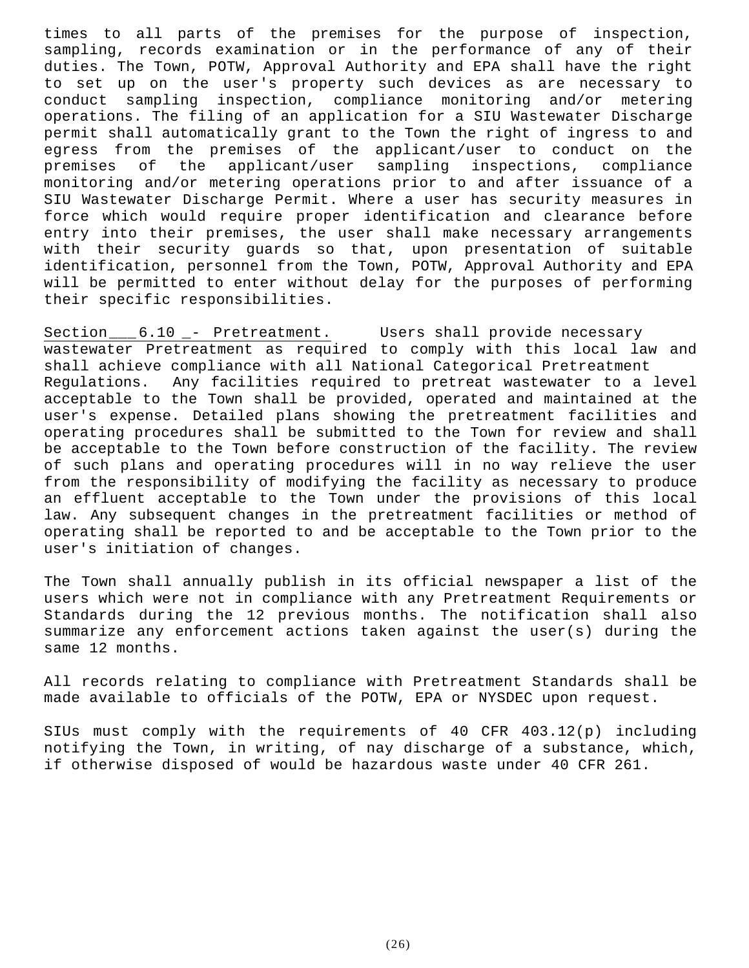times to all parts of the premises for the purpose of inspection, sampling, records examination or in the performance of any of their duties. The Town, POTW, Approval Authority and EPA shall have the right to set up on the user's property such devices as are necessary to conduct sampling inspection, compliance monitoring and/or metering operations. The filing of an application for a SIU Wastewater Discharge permit shall automatically grant to the Town the right of ingress to and egress from the premises of the applicant/user to conduct on the premises of the applicant/user sampling inspections, compliance monitoring and/or metering operations prior to and after issuance of a SIU Wastewater Discharge Permit. Where a user has security measures in force which would require proper identification and clearance before entry into their premises, the user shall make necessary arrangements with their security guards so that, upon presentation of suitable identification, personnel from the Town, POTW, Approval Authority and EPA will be permitted to enter without delay for the purposes of performing their specific responsibilities.

Section 6.10 - Pretreatment. Users shall provide necessary wastewater Pretreatment as required to comply with this local law and shall achieve compliance with all National Categorical Pretreatment Regulations. Any facilities required to pretreat wastewater to a level acceptable to the Town shall be provided, operated and maintained at the user's expense. Detailed plans showing the pretreatment facilities and operating procedures shall be submitted to the Town for review and shall be acceptable to the Town before construction of the facility. The review of such plans and operating procedures will in no way relieve the user from the responsibility of modifying the facility as necessary to produce an effluent acceptable to the Town under the provisions of this local law. Any subsequent changes in the pretreatment facilities or method of operating shall be reported to and be acceptable to the Town prior to the user's initiation of changes.

The Town shall annually publish in its official newspaper a list of the users which were not in compliance with any Pretreatment Requirements or Standards during the 12 previous months. The notification shall also summarize any enforcement actions taken against the user(s) during the same 12 months.

All records relating to compliance with Pretreatment Standards shall be made available to officials of the POTW, EPA or NYSDEC upon request.

SIUs must comply with the requirements of 40 CFR 403.12(p) including notifying the Town, in writing, of nay discharge of a substance, which, if otherwise disposed of would be hazardous waste under 40 CFR 261.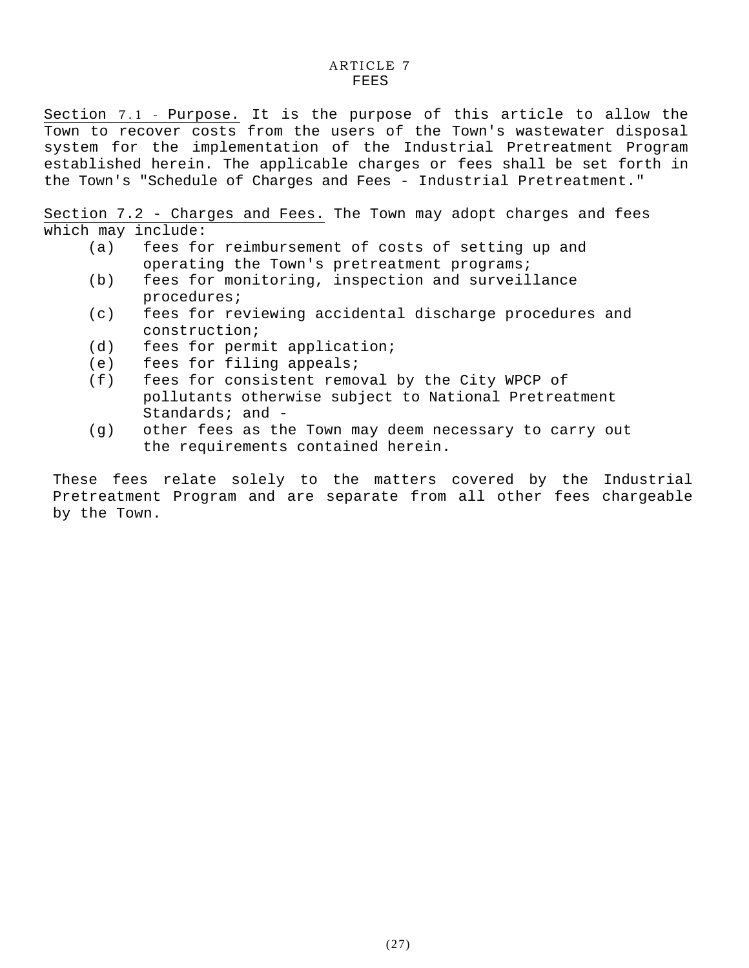#### ARTICLE 7 FEES

Section 7.1 - Purpose. It is the purpose of this article to allow the Town to recover costs from the users of the Town's wastewater disposal system for the implementation of the Industrial Pretreatment Program established herein. The applicable charges or fees shall be set forth in the Town's "Schedule of Charges and Fees - Industrial Pretreatment."

Section 7.2 - Charges and Fees. The Town may adopt charges and fees which may include:

- (a) fees for reimbursement of costs of setting up and operating the Town's pretreatment programs;
- (b) fees for monitoring, inspection and surveillance procedures;
- (c) fees for reviewing accidental discharge procedures and construction;
- (d) fees for permit application;
- (e) fees for filing appeals;
- (f) fees for consistent removal by the City WPCP of pollutants otherwise subject to National Pretreatment Standards; and -
- (g) other fees as the Town may deem necessary to carry out the requirements contained herein.

These fees relate solely to the matters covered by the Industrial Pretreatment Program and are separate from all other fees chargeable by the Town.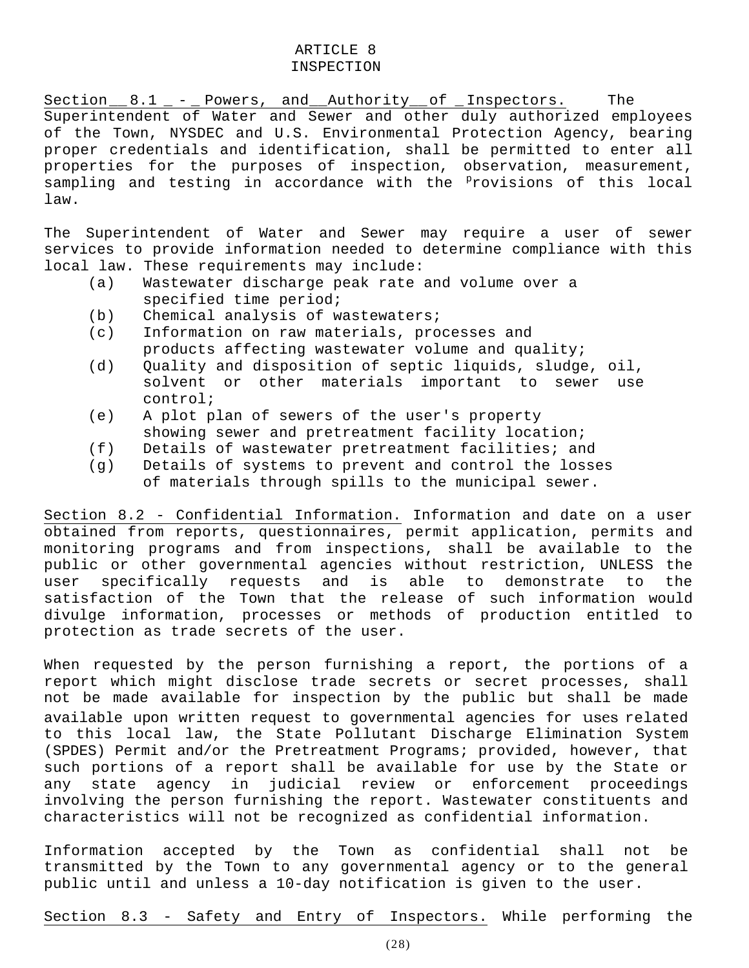Section  $8.1 -$  - Powers, and Authority of Inspectors. The Superintendent of Water and Sewer and other duly authorized employees of the Town, NYSDEC and U.S. Environmental Protection Agency, bearing proper credentials and identification, shall be permitted to enter all properties for the purposes of inspection, observation, measurement, sampling and testing in accordance with the <sup>p</sup>rovisions of this local law.

The Superintendent of Water and Sewer may require a user of sewer services to provide information needed to determine compliance with this local law. These requirements may include:

- (a) Wastewater discharge peak rate and volume over a specified time period;
- (b) Chemical analysis of wastewaters;
- (c) Information on raw materials, processes and
	- products affecting wastewater volume and quality;
- (d) Quality and disposition of septic liquids, sludge, oil, solvent or other materials important to sewer use control;
- (e) A plot plan of sewers of the user's property
- showing sewer and pretreatment facility location;
- (f) Details of wastewater pretreatment facilities; and (g) Details of systems to prevent and control the losses
- of materials through spills to the municipal sewer.

Section 8.2 - Confidential Information. Information and date on a user obtained from reports, questionnaires, permit application, permits and monitoring programs and from inspections, shall be available to the public or other governmental agencies without restriction, UNLESS the user specifically requests and is able to demonstrate to the satisfaction of the Town that the release of such information would divulge information, processes or methods of production entitled to protection as trade secrets of the user.

When requested by the person furnishing a report, the portions of a report which might disclose trade secrets or secret processes, shall not be made available for inspection by the public but shall be made available upon written request to governmental agencies for uses related to this local law, the State Pollutant Discharge Elimination System (SPDES) Permit and/or the Pretreatment Programs; provided, however, that such portions of a report shall be available for use by the State or any state agency in judicial review or enforcement proceedings involving the person furnishing the report. Wastewater constituents and characteristics will not be recognized as confidential information.

Information accepted by the Town as confidential shall not be transmitted by the Town to any governmental agency or to the general public until and unless a 10-day notification is given to the user.

Section 8.3 - Safety and Entry of Inspectors. While performing the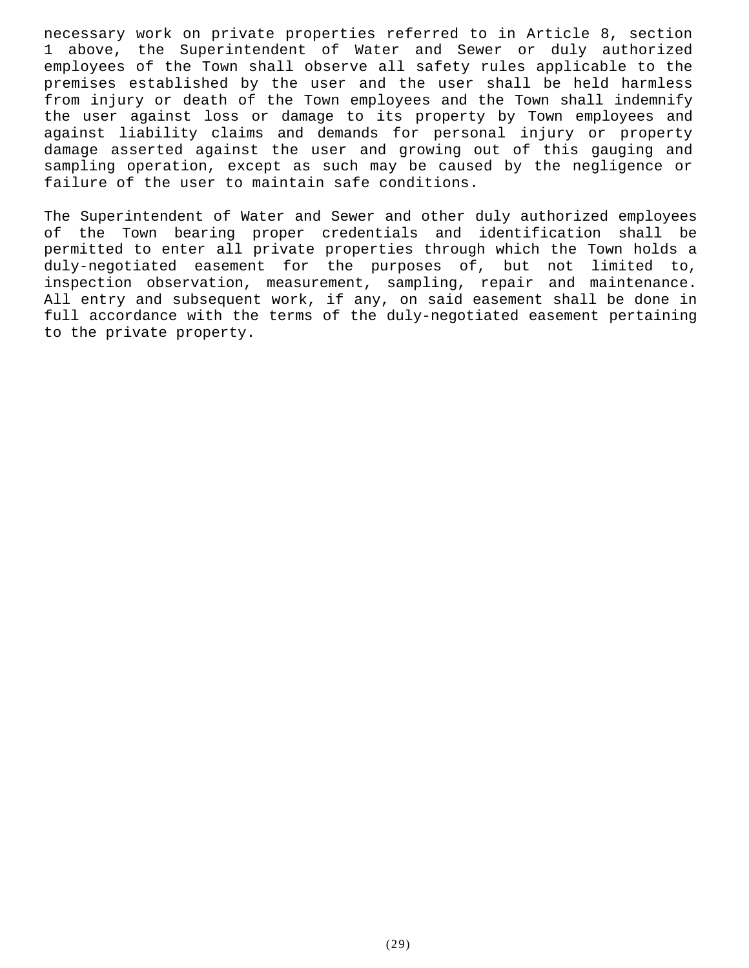necessary work on private properties referred to in Article 8, section 1 above, the Superintendent of Water and Sewer or duly authorized employees of the Town shall observe all safety rules applicable to the premises established by the user and the user shall be held harmless from injury or death of the Town employees and the Town shall indemnify the user against loss or damage to its property by Town employees and against liability claims and demands for personal injury or property damage asserted against the user and growing out of this gauging and sampling operation, except as such may be caused by the negligence or failure of the user to maintain safe conditions.

The Superintendent of Water and Sewer and other duly authorized employees of the Town bearing proper credentials and identification shall be permitted to enter all private properties through which the Town holds a duly-negotiated easement for the purposes of, but not limited to, inspection observation, measurement, sampling, repair and maintenance. All entry and subsequent work, if any, on said easement shall be done in full accordance with the terms of the duly-negotiated easement pertaining to the private property.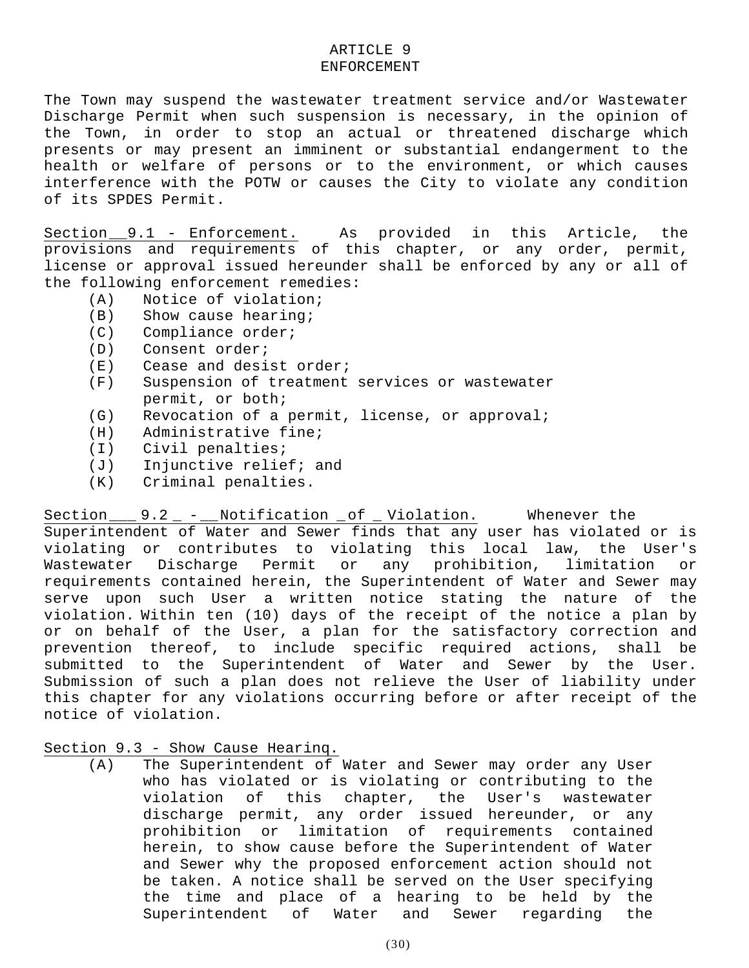### ARTICLE 9 ENFORCEMENT

The Town may suspend the wastewater treatment service and/or Wastewater Discharge Permit when such suspension is necessary, in the opinion of the Town, in order to stop an actual or threatened discharge which presents or may present an imminent or substantial endangerment to the health or welfare of persons or to the environment, or which causes interference with the POTW or causes the City to violate any condition of its SPDES Permit.

Section 9.1 - Enforcement. As provided in this Article, the provisions and requirements of this chapter, or any order, permit, license or approval issued hereunder shall be enforced by any or all of the following enforcement remedies:

- (A) Notice of violation;
- (B) Show cause hearing;
- (C) Compliance order;
- (D) Consent order;
- (E) Cease and desist order;
- (F) Suspension of treatment services or wastewater permit, or both;
- (G) Revocation of a permit, license, or approval;
- (H) Administrative fine;
- (I) Civil penalties;
- (J) Injunctive relief; and
- (K) Criminal penalties.

Section 1.2 - Notification of Violation. Whenever the Superintendent of Water and Sewer finds that any user has violated or is violating or contributes to violating this local law, the User's Wastewater Discharge Permit or any prohibition, limitation or requirements contained herein, the Superintendent of Water and Sewer may serve upon such User a written notice stating the nature of the violation. Within ten (10) days of the receipt of the notice a plan by or on behalf of the User, a plan for the satisfactory correction and prevention thereof, to include specific required actions, shall be submitted to the Superintendent of Water and Sewer by the User. Submission of such a plan does not relieve the User of liability under this chapter for any violations occurring before or after receipt of the notice of violation.

Section 9.3 - Show Cause Hearinq.

(A) The Superintendent of Water and Sewer may order any User who has violated or is violating or contributing to the violation of this chapter, the User's wastewater discharge permit, any order issued hereunder, or any prohibition or limitation of requirements contained herein, to show cause before the Superintendent of Water and Sewer why the proposed enforcement action should not be taken. A notice shall be served on the User specifying the time and place of a hearing to be held by the Superintendent of Water and Sewer regarding the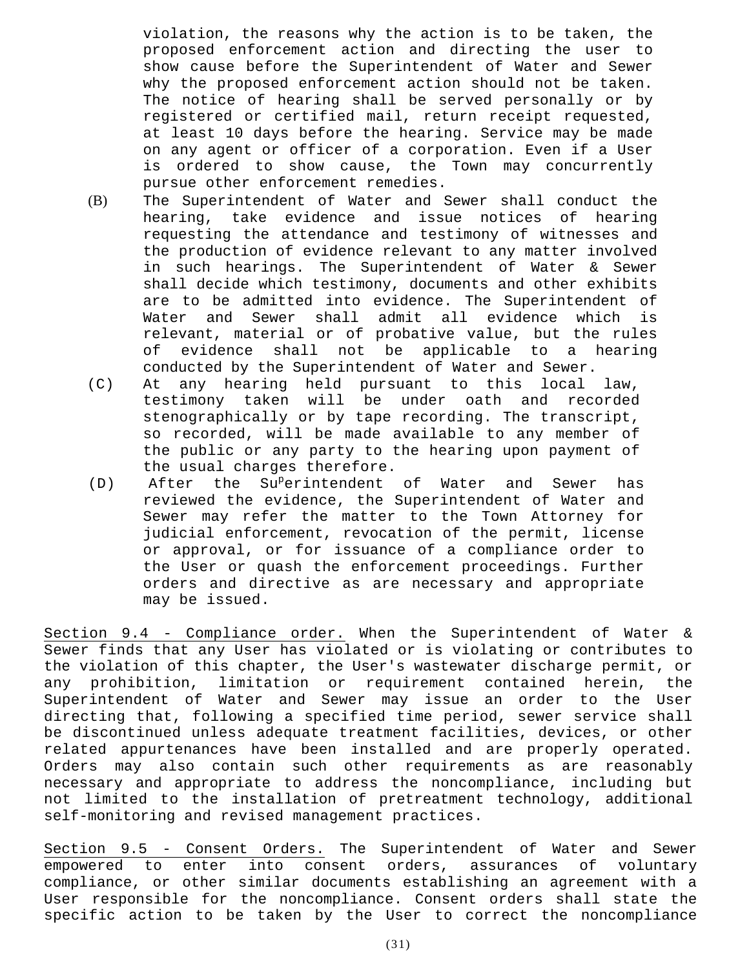violation, the reasons why the action is to be taken, the proposed enforcement action and directing the user to show cause before the Superintendent of Water and Sewer why the proposed enforcement action should not be taken. The notice of hearing shall be served personally or by registered or certified mail, return receipt requested, at least 10 days before the hearing. Service may be made on any agent or officer of a corporation. Even if a User is ordered to show cause, the Town may concurrently pursue other enforcement remedies.

- (B) The Superintendent of Water and Sewer shall conduct the hearing, take evidence and issue notices of hearing requesting the attendance and testimony of witnesses and the production of evidence relevant to any matter involved in such hearings. The Superintendent of Water & Sewer shall decide which testimony, documents and other exhibits are to be admitted into evidence. The Superintendent of Water and Sewer shall admit all evidence which is relevant, material or of probative value, but the rules of evidence shall not be applicable to a hearing conducted by the Superintendent of Water and Sewer.
- (C) At any hearing held pursuant to this local law, testimony taken will be under oath and recorded stenographically or by tape recording. The transcript, so recorded, will be made available to any member of the public or any party to the hearing upon payment of the usual charges therefore.
- (D) After the Su<sup>p</sup>erintendent of Water and Sewer has reviewed the evidence, the Superintendent of Water and Sewer may refer the matter to the Town Attorney for judicial enforcement, revocation of the permit, license or approval, or for issuance of a compliance order to the User or quash the enforcement proceedings. Further orders and directive as are necessary and appropriate may be issued.

Section 9.4 - Compliance order. When the Superintendent of Water & Sewer finds that any User has violated or is violating or contributes to the violation of this chapter, the User's wastewater discharge permit, or any prohibition, limitation or requirement contained herein, the Superintendent of Water and Sewer may issue an order to the User directing that, following a specified time period, sewer service shall be discontinued unless adequate treatment facilities, devices, or other related appurtenances have been installed and are properly operated. Orders may also contain such other requirements as are reasonably necessary and appropriate to address the noncompliance, including but not limited to the installation of pretreatment technology, additional self-monitoring and revised management practices.

Section 9.5 - Consent Orders. The Superintendent of Water and Sewer empowered to enter into consent orders, assurances of voluntary compliance, or other similar documents establishing an agreement with a User responsible for the noncompliance. Consent orders shall state the specific action to be taken by the User to correct the noncompliance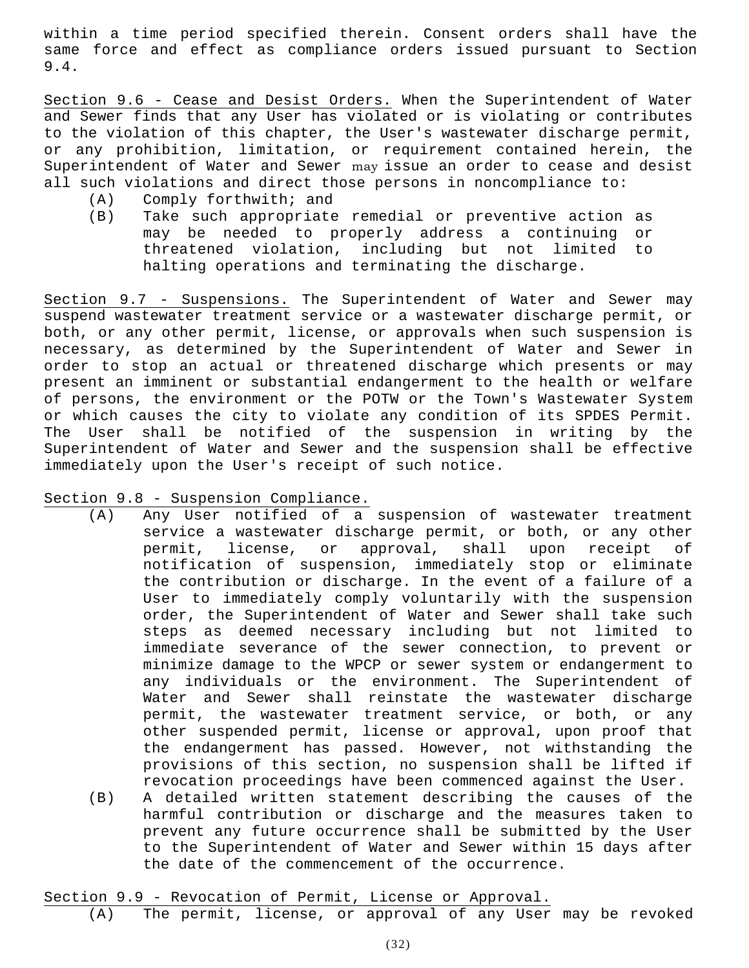within a time period specified therein. Consent orders shall have the same force and effect as compliance orders issued pursuant to Section 9.4.

Section 9.6 - Cease and Desist Orders. When the Superintendent of Water and Sewer finds that any User has violated or is violating or contributes to the violation of this chapter, the User's wastewater discharge permit, or any prohibition, limitation, or requirement contained herein, the Superintendent of Water and Sewer may issue an order to cease and desist all such violations and direct those persons in noncompliance to:

- (A) Comply forthwith; and
- (B) Take such appropriate remedial or preventive action as may be needed to properly address a continuing or threatened violation, including but not limited to halting operations and terminating the discharge.

Section 9.7 - Suspensions. The Superintendent of Water and Sewer may suspend wastewater treatment service or a wastewater discharge permit, or both, or any other permit, license, or approvals when such suspension is necessary, as determined by the Superintendent of Water and Sewer in order to stop an actual or threatened discharge which presents or may present an imminent or substantial endangerment to the health or welfare of persons, the environment or the POTW or the Town's Wastewater System or which causes the city to violate any condition of its SPDES Permit. The User shall be notified of the suspension in writing by the Superintendent of Water and Sewer and the suspension shall be effective immediately upon the User's receipt of such notice.

### Section 9.8 - Suspension Compliance.

- (A) Any User notified of a suspension of wastewater treatment service a wastewater discharge permit, or both, or any other permit, license, or approval, shall upon receipt of notification of suspension, immediately stop or eliminate the contribution or discharge. In the event of a failure of a User to immediately comply voluntarily with the suspension order, the Superintendent of Water and Sewer shall take such steps as deemed necessary including but not limited to immediate severance of the sewer connection, to prevent or minimize damage to the WPCP or sewer system or endangerment to any individuals or the environment. The Superintendent of Water and Sewer shall reinstate the wastewater discharge permit, the wastewater treatment service, or both, or any other suspended permit, license or approval, upon proof that the endangerment has passed. However, not withstanding the provisions of this section, no suspension shall be lifted if revocation proceedings have been commenced against the User.
- (B) A detailed written statement describing the causes of the harmful contribution or discharge and the measures taken to prevent any future occurrence shall be submitted by the User to the Superintendent of Water and Sewer within 15 days after the date of the commencement of the occurrence.

Section 9.9 - Revocation of Permit, License or Approval.

(A) The permit, license, or approval of any User may be revoked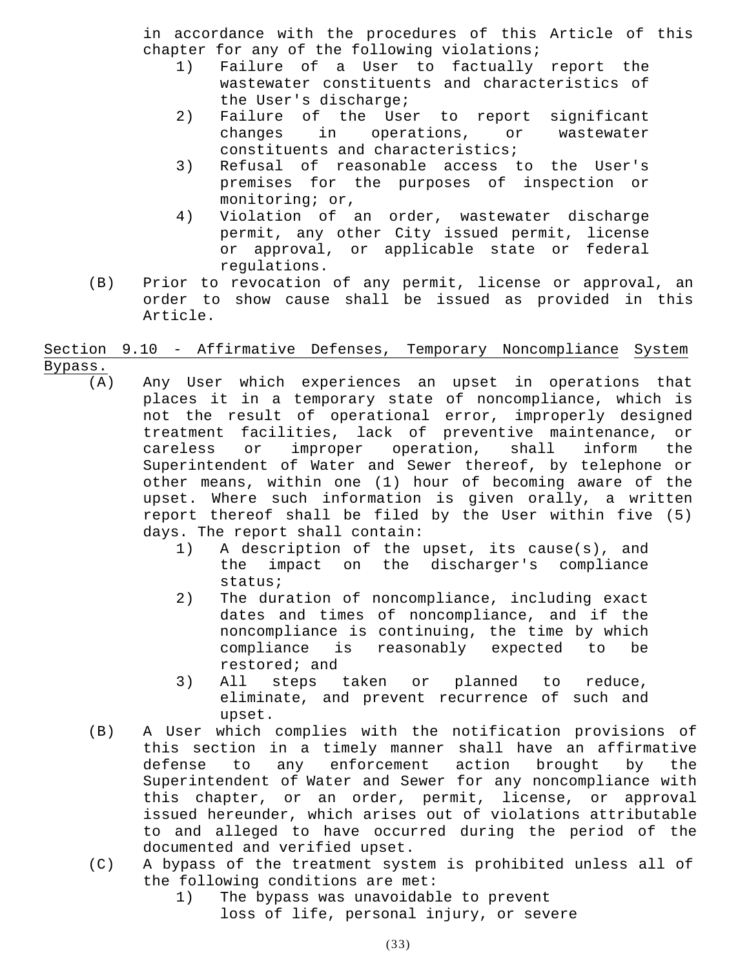in accordance with the procedures of this Article of this chapter for any of the following violations;

- 1) Failure of a User to factually report the wastewater constituents and characteristics of the User's discharge;
- 2) Failure of the User to report significant changes in operations, or wastewater constituents and characteristics;
- 3) Refusal of reasonable access to the User's premises for the purposes of inspection or monitoring; or,
- 4) Violation of an order, wastewater discharge permit, any other City issued permit, license or approval, or applicable state or federal regulations.
- (B) Prior to revocation of any permit, license or approval, an order to show cause shall be issued as provided in this Article.

## Section 9.10 - Affirmative Defenses, Temporary Noncompliance System Bypass.

- (A) Any User which experiences an upset in operations that places it in a temporary state of noncompliance, which is not the result of operational error, improperly designed treatment facilities, lack of preventive maintenance, or careless or improper operation, shall inform the Superintendent of Water and Sewer thereof, by telephone or other means, within one (1) hour of becoming aware of the upset. Where such information is given orally, a written report thereof shall be filed by the User within five (5) days. The report shall contain:
	- 1) A description of the upset, its cause(s), and the impact on the discharger's compliance status;
	- 2) The duration of noncompliance, including exact dates and times of noncompliance, and if the noncompliance is continuing, the time by which compliance is reasonably expected to be restored; and
	- 3) All steps taken or planned to reduce, eliminate, and prevent recurrence of such and upset.
- (B) A User which complies with the notification provisions of this section in a timely manner shall have an affirmative defense to any enforcement action brought by the Superintendent of Water and Sewer for any noncompliance with this chapter, or an order, permit, license, or approval issued hereunder, which arises out of violations attributable to and alleged to have occurred during the period of the documented and verified upset.
- (C) A bypass of the treatment system is prohibited unless all of the following conditions are met:
	- 1) The bypass was unavoidable to prevent loss of life, personal injury, or severe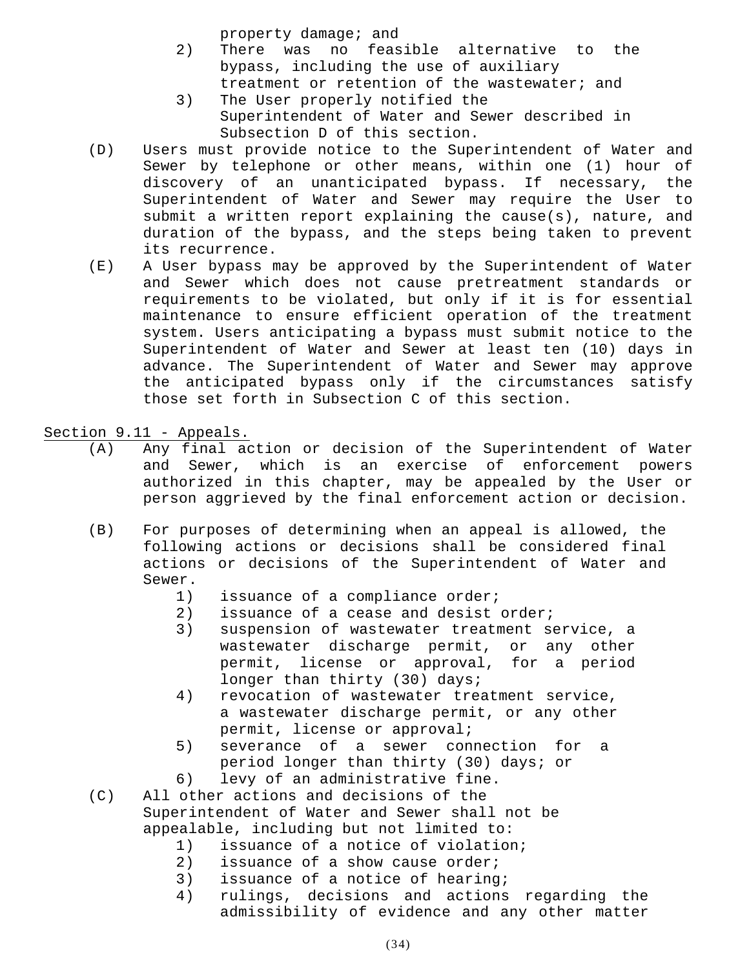property damage; and

- 2) There was no feasible alternative to the bypass, including the use of auxiliary treatment or retention of the wastewater; and
- 3) The User properly notified the Superintendent of Water and Sewer described in Subsection D of this section.
- (D) Users must provide notice to the Superintendent of Water and Sewer by telephone or other means, within one (1) hour of discovery of an unanticipated bypass. If necessary, the Superintendent of Water and Sewer may require the User to submit a written report explaining the cause(s), nature, and duration of the bypass, and the steps being taken to prevent its recurrence.
- (E) A User bypass may be approved by the Superintendent of Water and Sewer which does not cause pretreatment standards or requirements to be violated, but only if it is for essential maintenance to ensure efficient operation of the treatment system. Users anticipating a bypass must submit notice to the Superintendent of Water and Sewer at least ten (10) days in advance. The Superintendent of Water and Sewer may approve the anticipated bypass only if the circumstances satisfy those set forth in Subsection C of this section.

Section 9.11 - Appeals.

- (A) Any final action or decision of the Superintendent of Water and Sewer, which is an exercise of enforcement powers authorized in this chapter, may be appealed by the User or person aggrieved by the final enforcement action or decision.
- (B) For purposes of determining when an appeal is allowed, the following actions or decisions shall be considered final actions or decisions of the Superintendent of Water and Sewer.
	- 1) issuance of a compliance order;
	- 2) issuance of a cease and desist order;
	- 3) suspension of wastewater treatment service, a wastewater discharge permit, or any other permit, license or approval, for a period longer than thirty (30) days;
	- 4) revocation of wastewater treatment service, a wastewater discharge permit, or any other permit, license or approval;
	- 5) severance of a sewer connection for a period longer than thirty (30) days; or
	- 6) levy of an administrative fine.
- (C) All other actions and decisions of the Superintendent of Water and Sewer shall not be appealable, including but not limited to:
	- 1) issuance of a notice of violation;
	- 2) issuance of a show cause order;
	- 3) issuance of a notice of hearing;
	- 4) rulings, decisions and actions regarding the admissibility of evidence and any other matter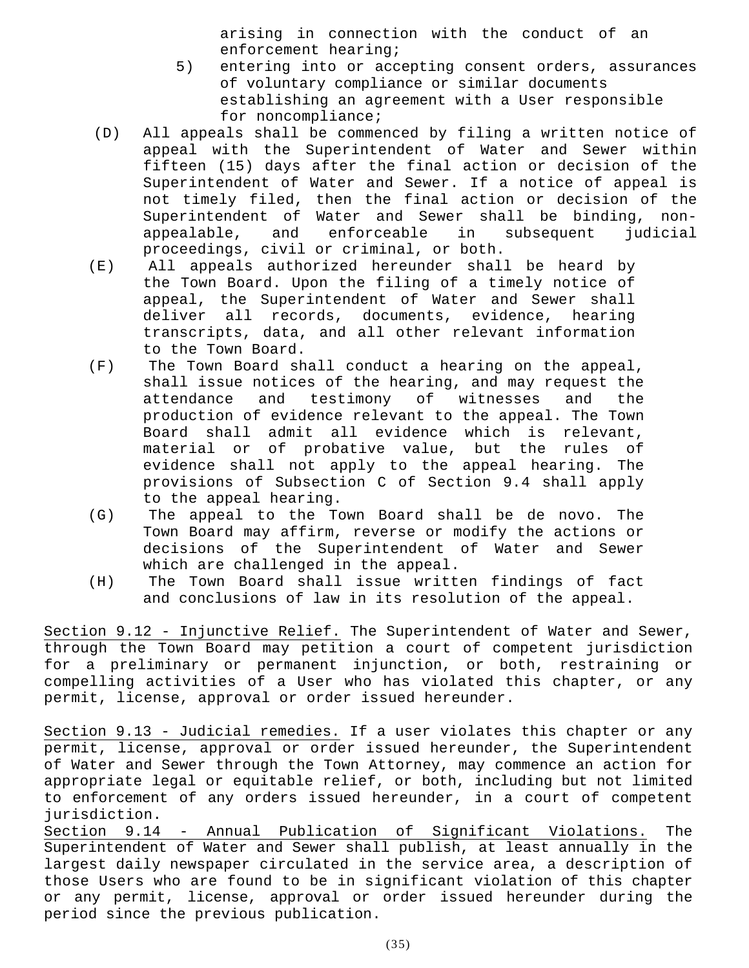arising in connection with the conduct of an enforcement hearing;

- 5) entering into or accepting consent orders, assurances of voluntary compliance or similar documents establishing an agreement with a User responsible for noncompliance;
- (D) All appeals shall be commenced by filing a written notice of appeal with the Superintendent of Water and Sewer within fifteen (15) days after the final action or decision of the Superintendent of Water and Sewer. If a notice of appeal is not timely filed, then the final action or decision of the Superintendent of Water and Sewer shall be binding, nonappealable, and enforceable in subsequent judicial proceedings, civil or criminal, or both.
- (E) All appeals authorized hereunder shall be heard by the Town Board. Upon the filing of a timely notice of appeal, the Superintendent of Water and Sewer shall deliver all records, documents, evidence, hearing transcripts, data, and all other relevant information to the Town Board.
- (F) The Town Board shall conduct a hearing on the appeal, shall issue notices of the hearing, and may request the attendance and testimony of witnesses and the production of evidence relevant to the appeal. The Town Board shall admit all evidence which is relevant, material or of probative value, but the rules of evidence shall not apply to the appeal hearing. The provisions of Subsection C of Section 9.4 shall apply to the appeal hearing.
- (G) The appeal to the Town Board shall be de novo. The Town Board may affirm, reverse or modify the actions or decisions of the Superintendent of Water and Sewer which are challenged in the appeal.
- (H) The Town Board shall issue written findings of fact and conclusions of law in its resolution of the appeal.

Section 9.12 - Injunctive Relief. The Superintendent of Water and Sewer, through the Town Board may petition a court of competent jurisdiction for a preliminary or permanent injunction, or both, restraining or compelling activities of a User who has violated this chapter, or any permit, license, approval or order issued hereunder.

Section 9.13 - Judicial remedies. If a user violates this chapter or any permit, license, approval or order issued hereunder, the Superintendent of Water and Sewer through the Town Attorney, may commence an action for appropriate legal or equitable relief, or both, including but not limited to enforcement of any orders issued hereunder, in a court of competent jurisdiction.

Section 9.14 - Annual Publication of Significant Violations. The Superintendent of Water and Sewer shall publish, at least annually in the largest daily newspaper circulated in the service area, a description of those Users who are found to be in significant violation of this chapter or any permit, license, approval or order issued hereunder during the period since the previous publication.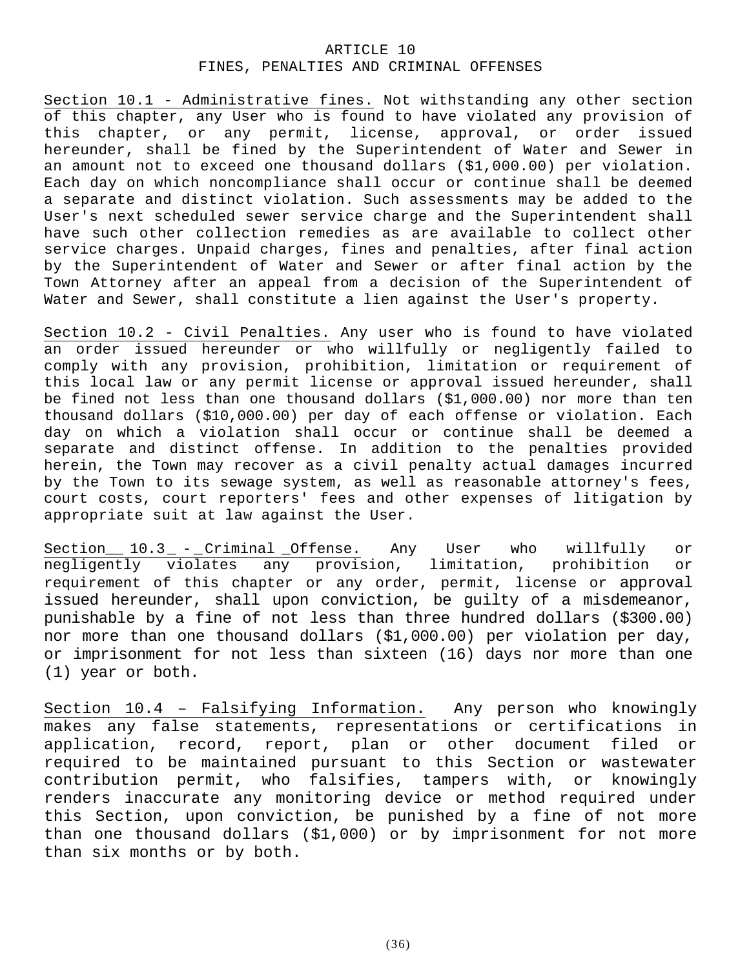### ARTICLE 10 FINES, PENALTIES AND CRIMINAL OFFENSES

Section 10.1 - Administrative fines. Not withstanding any other section of this chapter, any User who is found to have violated any provision of this chapter, or any permit, license, approval, or order issued hereunder, shall be fined by the Superintendent of Water and Sewer in an amount not to exceed one thousand dollars (\$1,000.00) per violation. Each day on which noncompliance shall occur or continue shall be deemed a separate and distinct violation. Such assessments may be added to the User's next scheduled sewer service charge and the Superintendent shall have such other collection remedies as are available to collect other service charges. Unpaid charges, fines and penalties, after final action by the Superintendent of Water and Sewer or after final action by the Town Attorney after an appeal from a decision of the Superintendent of Water and Sewer, shall constitute a lien against the User's property.

Section 10.2 - Civil Penalties. Any user who is found to have violated an order issued hereunder or who willfully or negligently failed to comply with any provision, prohibition, limitation or requirement of this local law or any permit license or approval issued hereunder, shall be fined not less than one thousand dollars (\$1,000.00) nor more than ten thousand dollars (\$10,000.00) per day of each offense or violation. Each day on which a violation shall occur or continue shall be deemed a separate and distinct offense. In addition to the penalties provided herein, the Town may recover as a civil penalty actual damages incurred by the Town to its sewage system, as well as reasonable attorney's fees, court costs, court reporters' fees and other expenses of litigation by appropriate suit at law against the User.

Section 10.3 - Criminal Offense. Any User who willfully or negligently violates any provision, limitation, prohibition or requirement of this chapter or any order, permit, license or approval issued hereunder, shall upon conviction, be guilty of a misdemeanor, punishable by a fine of not less than three hundred dollars (\$300.00) nor more than one thousand dollars (\$1,000.00) per violation per day, or imprisonment for not less than sixteen (16) days nor more than one (1) year or both.

Section 10.4 – Falsifying Information. Any person who knowingly makes any false statements, representations or certifications in application, record, report, plan or other document filed or required to be maintained pursuant to this Section or wastewater contribution permit, who falsifies, tampers with, or knowingly renders inaccurate any monitoring device or method required under this Section, upon conviction, be punished by a fine of not more than one thousand dollars (\$1,000) or by imprisonment for not more than six months or by both.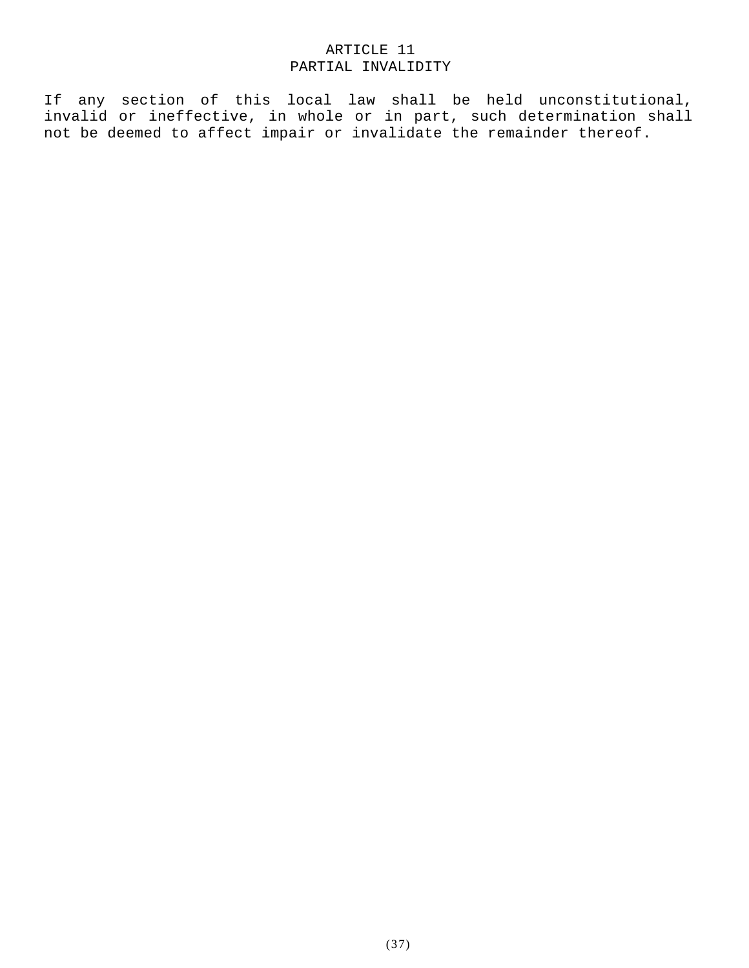# ARTICLE 11 PARTIAL INVALIDITY

If any section of this local law shall be held unconstitutional, invalid or ineffective, in whole or in part, such determination shall not be deemed to affect impair or invalidate the remainder thereof.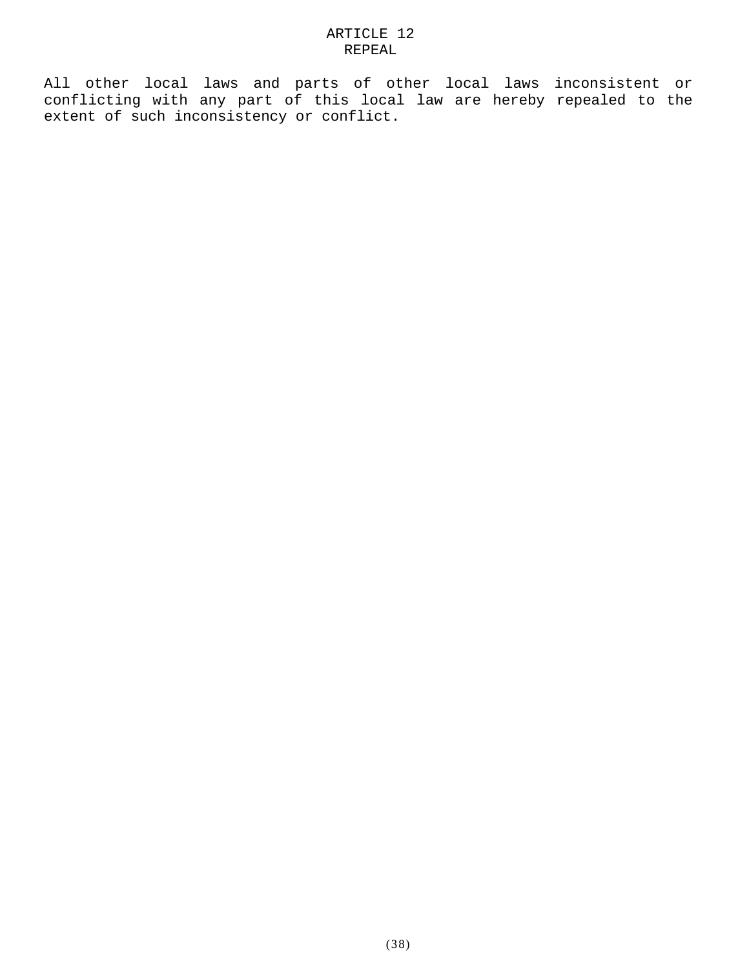All other local laws and parts of other local laws inconsistent or conflicting with any part of this local law are hereby repealed to the extent of such inconsistency or conflict.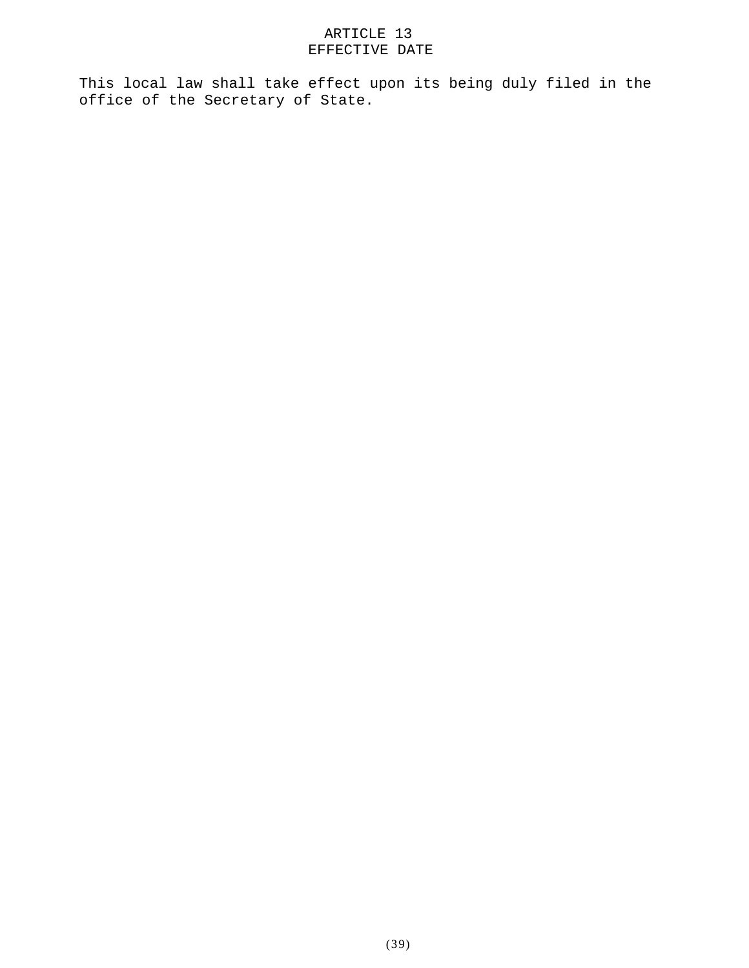# ARTICLE 13 EFFECTIVE DATE

This local law shall take effect upon its being duly filed in the office of the Secretary of State.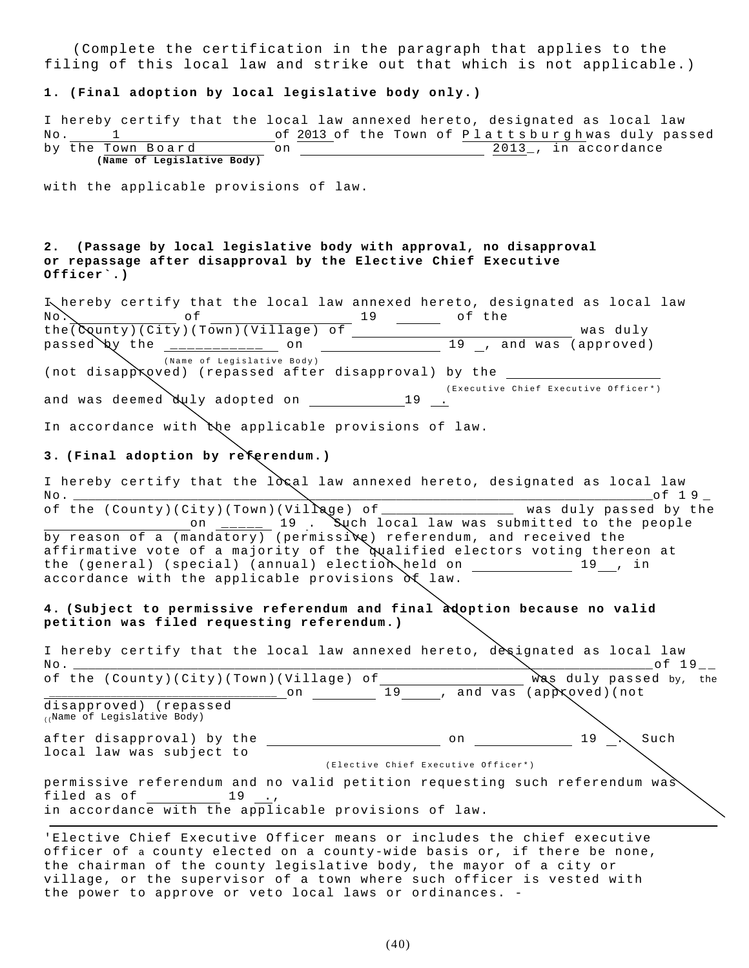(Complete the certification in the paragraph that applies to the filing of this local law and strike out that which is not applicable.)

#### 1. (Final adoption by local legislative body only.)

| I hereby certify that the local law annexed hereto, designated as local law<br>No. 1 05 2013 of the Town of Plattsburghwas duly passed                                                                                                                                      |
|-----------------------------------------------------------------------------------------------------------------------------------------------------------------------------------------------------------------------------------------------------------------------------|
| by the Town Board                                                                                                                                                                                                                                                           |
| (Name of Legislative Body)                                                                                                                                                                                                                                                  |
| with the applicable provisions of law.                                                                                                                                                                                                                                      |
| 2. (Passage by local legislative body with approval, no disapproval<br>or repassage after disapproval by the Elective Chief Executive<br>Officer.)                                                                                                                          |
| I hereby certify that the local law annexed hereto, designated as local law<br>$\text{No.}$ of $\begin{array}{ c c c c c }\n\hline\n\text{No.} & \text{of the} \\ \hline\n\end{array}$                                                                                      |
|                                                                                                                                                                                                                                                                             |
| (Name of Legislative Body)<br>(not disapproved) (repassed after disapproval) by the __________________________                                                                                                                                                              |
|                                                                                                                                                                                                                                                                             |
|                                                                                                                                                                                                                                                                             |
| In accordance with the applicable provisions of law.                                                                                                                                                                                                                        |
| 3. (Final adoption by referendum.)                                                                                                                                                                                                                                          |
| I hereby certify that the local law annexed hereto, designated as local law                                                                                                                                                                                                 |
|                                                                                                                                                                                                                                                                             |
| by reason of a (mandatory) (permissive) referendum, and received the<br>affirmative vote of a majority of the qualified electors voting thereon at<br>the (general) (special) (annual) election held on 19, in<br>accordance with the applicable provisions $\delta f$ law. |
| 4. (Subject to permissive referendum and final adoption because no valid<br>petition was filed requesting referendum.)                                                                                                                                                      |
| I hereby certify that the local law annexed hereto, designated as local law<br>of $19_{--}$<br>NO.                                                                                                                                                                          |
| of the (County)(City)(Town)(Village) of<br>was duly passed by, the<br>19<br>, and vas (appxoved) (not<br>on                                                                                                                                                                 |
| disapproved) (repassed<br>$_{(i)}$ Name of Legislative Body)                                                                                                                                                                                                                |
| 19<br>Such<br>after disapproval) by the<br>оn<br>local law was subject to                                                                                                                                                                                                   |
| (Elective Chief Executive Officer*)                                                                                                                                                                                                                                         |
| permissive referendum and no valid petition requesting such referendum was<br>filed as of 19.,<br>in accordance with the applicable provisions of law.                                                                                                                      |
|                                                                                                                                                                                                                                                                             |

'Elective Chief Executive Officer means or includes the chief executive officer of a county elected on a county-wide basis or, if there be none, the chairman of the county legislative body, the mayor of a city or village, or the supervisor of a town where such officer is vested with the power to approve or veto local laws or ordinances. -